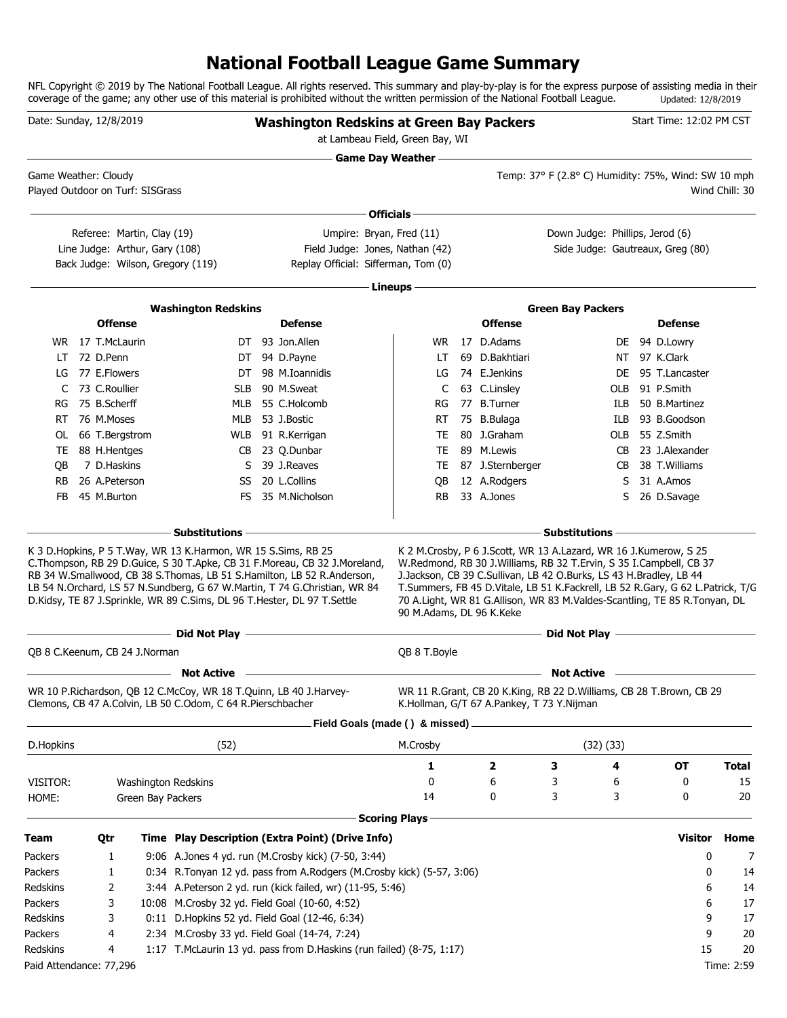### **National Football League Game Summary**

NFL Copyright © 2019 by The National Football League. All rights reserved. This summary and play-by-play is for the express purpose of assisting media in their coverage of the game; any other use of this material is prohibited without the written permission of the National Football League. Updated: 12/8/2019

| Date: Sunday, 12/8/2019          |                                |                                                                                                                                              | <b>Washington Redskins at Green Bay Packers</b><br>at Lambeau Field, Green Bay, WI                                                                                                                                                    |                           |                                                                                                                                                                                                                                                                                                                                                                             |                                                     |         | Start Time: 12:02 PM CST         |                |
|----------------------------------|--------------------------------|----------------------------------------------------------------------------------------------------------------------------------------------|---------------------------------------------------------------------------------------------------------------------------------------------------------------------------------------------------------------------------------------|---------------------------|-----------------------------------------------------------------------------------------------------------------------------------------------------------------------------------------------------------------------------------------------------------------------------------------------------------------------------------------------------------------------------|-----------------------------------------------------|---------|----------------------------------|----------------|
| Game Weather: Cloudy             |                                |                                                                                                                                              |                                                                                                                                                                                                                                       | <b>Game Day Weather —</b> |                                                                                                                                                                                                                                                                                                                                                                             | Temp: 37° F (2.8° C) Humidity: 75%, Wind: SW 10 mph |         |                                  |                |
| Played Outdoor on Turf: SISGrass |                                |                                                                                                                                              |                                                                                                                                                                                                                                       |                           |                                                                                                                                                                                                                                                                                                                                                                             |                                                     |         |                                  | Wind Chill: 30 |
|                                  |                                |                                                                                                                                              |                                                                                                                                                                                                                                       | Officials -               |                                                                                                                                                                                                                                                                                                                                                                             |                                                     |         |                                  |                |
|                                  | Referee: Martin, Clay (19)     |                                                                                                                                              | Umpire: Bryan, Fred (11)                                                                                                                                                                                                              |                           |                                                                                                                                                                                                                                                                                                                                                                             | Down Judge: Phillips, Jerod (6)                     |         |                                  |                |
|                                  | Line Judge: Arthur, Gary (108) | Back Judge: Wilson, Gregory (119)                                                                                                            | Field Judge: Jones, Nathan (42)<br>Replay Official: Sifferman, Tom (0)                                                                                                                                                                |                           |                                                                                                                                                                                                                                                                                                                                                                             |                                                     |         | Side Judge: Gautreaux, Greg (80) |                |
|                                  |                                |                                                                                                                                              |                                                                                                                                                                                                                                       | Lineups -                 |                                                                                                                                                                                                                                                                                                                                                                             |                                                     |         |                                  |                |
|                                  |                                | <b>Washington Redskins</b>                                                                                                                   |                                                                                                                                                                                                                                       |                           |                                                                                                                                                                                                                                                                                                                                                                             | <b>Green Bay Packers</b>                            |         |                                  |                |
|                                  | <b>Offense</b>                 |                                                                                                                                              | <b>Defense</b>                                                                                                                                                                                                                        |                           | <b>Offense</b>                                                                                                                                                                                                                                                                                                                                                              |                                                     |         | <b>Defense</b>                   |                |
|                                  | WR 17 T.McLaurin               |                                                                                                                                              | DT 93 Jon.Allen                                                                                                                                                                                                                       | WR.                       | 17 D.Adams                                                                                                                                                                                                                                                                                                                                                                  |                                                     |         | DE 94 D.Lowry                    |                |
| LT.                              | 72 D.Penn                      | DT                                                                                                                                           | 94 D.Payne                                                                                                                                                                                                                            | LT                        | 69 D.Bakhtiari                                                                                                                                                                                                                                                                                                                                                              |                                                     | NT.     | 97 K.Clark                       |                |
| LG                               | 77 E.Flowers                   | DT                                                                                                                                           | 98 M.Ioannidis                                                                                                                                                                                                                        | LG                        | 74 E.Jenkins                                                                                                                                                                                                                                                                                                                                                                |                                                     | DE      | 95 T.Lancaster                   |                |
| C                                | 73 C.Roullier                  | <b>SLB</b>                                                                                                                                   | 90 M.Sweat                                                                                                                                                                                                                            | C                         | 63 C.Linsley                                                                                                                                                                                                                                                                                                                                                                |                                                     | OLB     | 91 P.Smith                       |                |
| RG                               | 75 B.Scherff                   | MLB                                                                                                                                          | 55 C.Holcomb                                                                                                                                                                                                                          | RG                        | 77 B.Turner                                                                                                                                                                                                                                                                                                                                                                 |                                                     | ILB     | 50 B.Martinez                    |                |
| RT.                              | 76 M.Moses                     | MLB                                                                                                                                          | 53 J.Bostic                                                                                                                                                                                                                           | RT.                       | 75 B.Bulaga                                                                                                                                                                                                                                                                                                                                                                 |                                                     | ILB     | 93 B.Goodson                     |                |
| 0L                               | 66 T.Bergstrom                 |                                                                                                                                              | WLB 91 R.Kerrigan                                                                                                                                                                                                                     | TE                        | 80 J.Graham                                                                                                                                                                                                                                                                                                                                                                 |                                                     | OLB     | 55 Z.Smith                       |                |
| TE                               | 88 H.Hentges<br>7 D.Haskins    | S                                                                                                                                            | CB 23 Q.Dunbar<br>39 J.Reaves                                                                                                                                                                                                         | TE                        | 89 M.Lewis                                                                                                                                                                                                                                                                                                                                                                  |                                                     | CB      | 23 J.Alexander<br>38 T.Williams  |                |
| OВ<br><b>RB</b>                  | 26 A.Peterson                  | SS                                                                                                                                           | 20 L.Collins                                                                                                                                                                                                                          | TE<br>QB                  | 87 J.Sternberger<br>12 A.Rodgers                                                                                                                                                                                                                                                                                                                                            |                                                     | CB<br>S | 31 A.Amos                        |                |
| <b>FB</b>                        | 45 M.Burton                    | FS.                                                                                                                                          | 35 M.Nicholson                                                                                                                                                                                                                        | <b>RB</b>                 | 33 A.Jones                                                                                                                                                                                                                                                                                                                                                                  |                                                     | S       | 26 D.Savage                      |                |
|                                  |                                |                                                                                                                                              |                                                                                                                                                                                                                                       |                           |                                                                                                                                                                                                                                                                                                                                                                             |                                                     |         |                                  |                |
|                                  |                                | Substitutions                                                                                                                                |                                                                                                                                                                                                                                       |                           |                                                                                                                                                                                                                                                                                                                                                                             | Substitutions -                                     |         |                                  |                |
|                                  |                                | K 3 D. Hopkins, P 5 T. Way, WR 13 K. Harmon, WR 15 S. Sims, RB 25<br>D.Kidsy, TE 87 J.Sprinkle, WR 89 C.Sims, DL 96 T.Hester, DL 97 T.Settle | C. Thompson, RB 29 D. Guice, S 30 T. Apke, CB 31 F. Moreau, CB 32 J. Moreland,<br>RB 34 W.Smallwood, CB 38 S.Thomas, LB 51 S.Hamilton, LB 52 R.Anderson,<br>LB 54 N.Orchard, LS 57 N.Sundberg, G 67 W.Martin, T 74 G.Christian, WR 84 | 90 M.Adams, DL 96 K.Keke  | K 2 M.Crosby, P 6 J.Scott, WR 13 A.Lazard, WR 16 J.Kumerow, S 25<br>W.Redmond, RB 30 J.Williams, RB 32 T.Ervin, S 35 I.Campbell, CB 37<br>J.Jackson, CB 39 C.Sullivan, LB 42 O.Burks, LS 43 H.Bradley, LB 44<br>T.Summers, FB 45 D.Vitale, LB 51 K.Fackrell, LB 52 R.Gary, G 62 L.Patrick, T/G<br>70 A.Light, WR 81 G.Allison, WR 83 M.Valdes-Scantling, TE 85 R.Tonyan, DL |                                                     |         |                                  |                |
|                                  |                                | - Did Not Play -                                                                                                                             |                                                                                                                                                                                                                                       |                           |                                                                                                                                                                                                                                                                                                                                                                             | Did Not Play -                                      |         |                                  |                |
| QB 8 C.Keenum, CB 24 J.Norman    |                                |                                                                                                                                              |                                                                                                                                                                                                                                       | QB 8 T. Boyle             |                                                                                                                                                                                                                                                                                                                                                                             |                                                     |         |                                  |                |
|                                  |                                | <b>Not Active</b>                                                                                                                            |                                                                                                                                                                                                                                       |                           |                                                                                                                                                                                                                                                                                                                                                                             | <b>Not Active</b>                                   |         |                                  |                |
|                                  |                                | WR 10 P.Richardson, QB 12 C.McCoy, WR 18 T.Quinn, LB 40 J.Harvey-<br>Clemons, CB 47 A.Colvin, LB 50 C.Odom, C 64 R.Pierschbacher             |                                                                                                                                                                                                                                       |                           | WR 11 R.Grant, CB 20 K.King, RB 22 D.Williams, CB 28 T.Brown, CB 29<br>K.Hollman, G/T 67 A.Pankey, T 73 Y.Nijman                                                                                                                                                                                                                                                            |                                                     |         |                                  |                |
|                                  |                                |                                                                                                                                              | Field Goals (made () & missed)                                                                                                                                                                                                        |                           |                                                                                                                                                                                                                                                                                                                                                                             |                                                     |         |                                  |                |
| D.Hopkins                        |                                | (52)                                                                                                                                         |                                                                                                                                                                                                                                       | M.Crosby                  |                                                                                                                                                                                                                                                                                                                                                                             | $(32)$ $(33)$                                       |         |                                  |                |
|                                  |                                |                                                                                                                                              |                                                                                                                                                                                                                                       | 1                         | 2                                                                                                                                                                                                                                                                                                                                                                           | З                                                   | 4       | OT                               | <b>Total</b>   |
| VISITOR:                         |                                | Washington Redskins                                                                                                                          |                                                                                                                                                                                                                                       | 0                         | 6                                                                                                                                                                                                                                                                                                                                                                           | 3                                                   | 6       | 0                                | 15             |
| HOME:                            |                                | Green Bay Packers                                                                                                                            |                                                                                                                                                                                                                                       | 14                        | 0                                                                                                                                                                                                                                                                                                                                                                           | 3                                                   | 3       | 0                                | 20             |
|                                  |                                |                                                                                                                                              |                                                                                                                                                                                                                                       | <b>Scoring Plays</b>      |                                                                                                                                                                                                                                                                                                                                                                             |                                                     |         |                                  |                |
| <b>Team</b>                      | Qtr                            |                                                                                                                                              | Time Play Description (Extra Point) (Drive Info)                                                                                                                                                                                      |                           |                                                                                                                                                                                                                                                                                                                                                                             |                                                     |         | <b>Visitor</b>                   | Home           |
| Packers                          | 1                              |                                                                                                                                              | 9:06 A.Jones 4 yd. run (M.Crosby kick) (7-50, 3:44)                                                                                                                                                                                   |                           |                                                                                                                                                                                                                                                                                                                                                                             |                                                     |         | 0                                | 7              |
| Packers                          | 1                              |                                                                                                                                              | 0:34 R.Tonyan 12 yd. pass from A.Rodgers (M.Crosby kick) (5-57, 3:06)                                                                                                                                                                 |                           |                                                                                                                                                                                                                                                                                                                                                                             |                                                     |         | 0                                | 14             |
| Redskins                         | 2                              |                                                                                                                                              | 3:44 A.Peterson 2 yd. run (kick failed, wr) (11-95, 5:46)                                                                                                                                                                             |                           |                                                                                                                                                                                                                                                                                                                                                                             |                                                     |         | 6                                | 14             |
| Packers                          | 3                              | 10:08 M.Crosby 32 yd. Field Goal (10-60, 4:52)                                                                                               |                                                                                                                                                                                                                                       |                           |                                                                                                                                                                                                                                                                                                                                                                             |                                                     |         | 6                                | 17             |
| Redskins                         | 3                              |                                                                                                                                              | 0:11 D.Hopkins 52 yd. Field Goal (12-46, 6:34)                                                                                                                                                                                        |                           |                                                                                                                                                                                                                                                                                                                                                                             |                                                     |         | 9                                | 17             |
| Packers                          | 4                              | 2:34 M.Crosby 33 yd. Field Goal (14-74, 7:24)                                                                                                |                                                                                                                                                                                                                                       |                           |                                                                                                                                                                                                                                                                                                                                                                             |                                                     |         | 9                                | 20             |
| Redskins                         | 4                              |                                                                                                                                              | 1:17 T.McLaurin 13 yd. pass from D.Haskins (run failed) (8-75, 1:17)                                                                                                                                                                  |                           |                                                                                                                                                                                                                                                                                                                                                                             |                                                     |         | 15                               | 20             |
| Paid Attendance: 77,296          |                                |                                                                                                                                              |                                                                                                                                                                                                                                       |                           |                                                                                                                                                                                                                                                                                                                                                                             |                                                     |         |                                  | Time: 2:59     |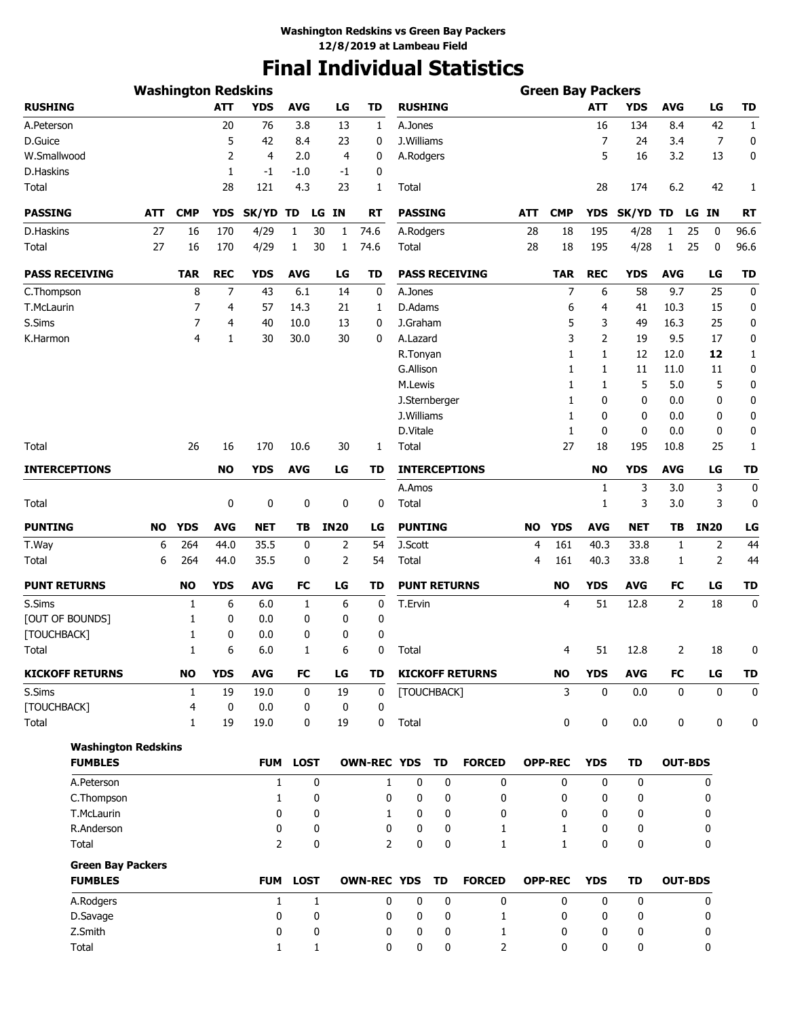# **Final Individual Statistics**

|                            | <b>Washington Redskins</b> |                |             |                |              |                    |                    |                |                     |                        |            | <b>Green Bay Packers</b> |                |             |              |                   |              |
|----------------------------|----------------------------|----------------|-------------|----------------|--------------|--------------------|--------------------|----------------|---------------------|------------------------|------------|--------------------------|----------------|-------------|--------------|-------------------|--------------|
| <b>RUSHING</b>             |                            |                | <b>ATT</b>  | <b>YDS</b>     | <b>AVG</b>   | LG                 | <b>TD</b>          | <b>RUSHING</b> |                     |                        |            |                          | <b>ATT</b>     | <b>YDS</b>  | <b>AVG</b>   | LG                | TD           |
| A.Peterson                 |                            |                | 20          | 76             | 3.8          | 13                 | 1                  | A.Jones        |                     |                        |            |                          | 16             | 134         | 8.4          | 42                | $\mathbf{1}$ |
| D.Guice                    |                            |                | 5           | 42             | 8.4          | 23                 | 0                  | J.Williams     |                     |                        |            |                          | $\overline{7}$ | 24          | 3.4          | 7                 | 0            |
| W.Smallwood                |                            |                | 2           | $\overline{4}$ | 2.0          | 4                  | 0                  | A.Rodgers      |                     |                        |            |                          | 5              | 16          | 3.2          | 13                | 0            |
| D.Haskins                  |                            |                | 1           | $-1$           | $-1.0$       | $-1$               | 0                  |                |                     |                        |            |                          |                |             |              |                   |              |
| Total                      |                            |                | 28          | 121            | 4.3          | 23                 | 1                  | Total          |                     |                        |            |                          | 28             | 174         | 6.2          | 42                | 1            |
| <b>PASSING</b>             | ATT                        | <b>CMP</b>     | <b>YDS</b>  | SK/YD TD       |              | LG IN              | RT                 | <b>PASSING</b> |                     |                        | <b>ATT</b> | <b>CMP</b>               | <b>YDS</b>     | SK/YD TD    |              | LG IN             | <b>RT</b>    |
| D.Haskins                  | 27                         | 16             | 170         | 4/29           | 1            | 30<br>$\mathbf{1}$ | 74.6               | A.Rodgers      |                     |                        | 28         | 18                       | 195            | 4/28        | $\mathbf{1}$ | 25<br>0           | 96.6         |
| Total                      | 27                         | 16             | 170         | 4/29           | 1            | 30<br>1            | 74.6               | Total          |                     |                        | 28         | 18                       | 195            | 4/28        | $\mathbf{1}$ | 25<br>$\mathbf 0$ | 96.6         |
| <b>PASS RECEIVING</b>      |                            | <b>TAR</b>     | <b>REC</b>  | <b>YDS</b>     | <b>AVG</b>   | LG                 | <b>TD</b>          |                |                     | <b>PASS RECEIVING</b>  |            | <b>TAR</b>               | <b>REC</b>     | <b>YDS</b>  | <b>AVG</b>   | LG                | <b>TD</b>    |
| C.Thompson                 |                            | 8              | 7           | 43             | 6.1          | 14                 | 0                  | A.Jones        |                     |                        |            | 7                        | 6              | 58          | 9.7          | 25                | 0            |
| T.McLaurin                 |                            | 7              | 4           | 57             | 14.3         | 21                 | 1                  | D.Adams        |                     |                        |            | 6                        | 4              | 41          | 10.3         | 15                | 0            |
| S.Sims                     |                            | 7              | 4           | 40             | 10.0         | 13                 | 0                  | J.Graham       |                     |                        |            | 5                        | 3              | 49          | 16.3         | 25                | 0            |
| K.Harmon                   |                            | $\overline{4}$ | 1           | 30             | 30.0         | 30                 | 0                  | A.Lazard       |                     |                        |            | 3                        | 2              | 19          | 9.5          | 17                | 0            |
|                            |                            |                |             |                |              |                    |                    | R.Tonyan       |                     |                        |            | 1                        | 1              | 12          | 12.0         | 12                | 1            |
|                            |                            |                |             |                |              |                    |                    | G.Allison      |                     |                        |            | 1                        | 1              | 11          | 11.0         | 11                | 0            |
|                            |                            |                |             |                |              |                    |                    | M.Lewis        |                     |                        |            | 1                        | 1              | 5           | 5.0          | 5                 | 0            |
|                            |                            |                |             |                |              |                    |                    |                | J.Sternberger       |                        |            | 1                        | 0              | 0           | 0.0          | 0                 | 0            |
|                            |                            |                |             |                |              |                    |                    | J.Williams     |                     |                        |            | 1                        | 0              | 0           | 0.0          | 0                 | 0            |
|                            |                            |                |             |                |              |                    |                    | D.Vitale       |                     |                        |            | 1                        | 0              | $\mathbf 0$ | 0.0          | 0                 | 0            |
| Total                      |                            | 26             | 16          | 170            | 10.6         | 30                 | 1                  | Total          |                     |                        |            | 27                       | 18             | 195         | 10.8         | 25                | 1            |
| <b>INTERCEPTIONS</b>       |                            |                | <b>NO</b>   | <b>YDS</b>     | <b>AVG</b>   | LG                 | TD                 |                |                     | <b>INTERCEPTIONS</b>   |            |                          | <b>NO</b>      | <b>YDS</b>  | <b>AVG</b>   | LG                | <b>TD</b>    |
|                            |                            |                |             |                |              |                    |                    | A.Amos         |                     |                        |            |                          | 1              | 3           | 3.0          | 3                 | 0            |
| Total                      |                            |                | 0           | 0              | 0            | 0                  | 0                  | Total          |                     |                        |            |                          | 1              | 3           | 3.0          | 3                 | 0            |
| <b>PUNTING</b>             | <b>NO</b>                  | <b>YDS</b>     | <b>AVG</b>  | <b>NET</b>     | ΤВ           | <b>IN20</b>        | LG                 | <b>PUNTING</b> |                     |                        | <b>NO</b>  | <b>YDS</b>               | <b>AVG</b>     | <b>NET</b>  | TB           | <b>IN20</b>       | LG           |
| T.Way                      | 6                          | 264            | 44.0        | 35.5           | 0            | 2                  | 54                 | J.Scott        |                     |                        | 4          | 161                      | 40.3           | 33.8        | 1            | 2                 | 44           |
| Total                      | 6                          | 264            | 44.0        | 35.5           | 0            | 2                  | 54                 | Total          |                     |                        | 4          | 161                      | 40.3           | 33.8        | 1            | 2                 | 44           |
| <b>PUNT RETURNS</b>        |                            | <b>NO</b>      | <b>YDS</b>  | AVG            | FC           | LG                 | TD                 |                | <b>PUNT RETURNS</b> |                        |            | <b>NO</b>                | <b>YDS</b>     | AVG         | FC           | LG                | TD           |
| S.Sims                     |                            | 1              | 6           | 6.0            | 1            | 6                  | 0                  | T.Ervin        |                     |                        |            | $\overline{4}$           | 51             | 12.8        | 2            | 18                | 0            |
| [OUT OF BOUNDS]            |                            | 1              | 0           | 0.0            | 0            | 0                  | 0                  |                |                     |                        |            |                          |                |             |              |                   |              |
| [TOUCHBACK]                |                            | 1              | 0           | 0.0            | 0            | 0                  | 0                  |                |                     |                        |            |                          |                |             |              |                   |              |
| Total                      |                            | 1              | 6           | 6.0            | 1            | 6                  | 0                  | Total          |                     |                        |            | 4                        | 51             | 12.8        | 2            | 18                | 0            |
| <b>KICKOFF RETURNS</b>     |                            | <b>NO</b>      | <b>YDS</b>  | <b>AVG</b>     | FC           | LG                 | TD                 |                |                     | <b>KICKOFF RETURNS</b> |            | <b>NO</b>                | <b>YDS</b>     | <b>AVG</b>  | FC           | LG                | <b>TD</b>    |
| S.Sims                     |                            | 1              | 19          | 19.0           | 0            | 19                 | $\mathbf 0$        |                | [TOUCHBACK]         |                        |            | 3                        | 0              | 0.0         | $\mathbf 0$  | 0                 | $\mathbf 0$  |
| [TOUCHBACK]                |                            | 4              | $\mathbf 0$ | 0.0            | 0            | 0                  | 0                  |                |                     |                        |            |                          |                |             |              |                   |              |
| Total                      |                            | 1              | 19          | 19.0           | 0            | 19                 | 0                  | Total          |                     |                        |            | 0                        | 0              | 0.0         | 0            | 0                 | 0            |
| <b>Washington Redskins</b> |                            |                |             |                |              |                    |                    |                |                     |                        |            |                          |                |             |              |                   |              |
| <b>FUMBLES</b>             |                            |                |             | <b>FUM</b>     | <b>LOST</b>  |                    | <b>OWN-REC YDS</b> |                | TD                  | <b>FORCED</b>          |            | <b>OPP-REC</b>           | <b>YDS</b>     | <b>TD</b>   |              | <b>OUT-BDS</b>    |              |
| A.Peterson                 |                            |                |             | $\mathbf{1}$   | 0            |                    | $\mathbf{1}$       | $\mathbf 0$    | 0                   | 0                      |            | $\mathbf{0}$             | 0              | $\mathbf 0$ |              | 0                 |              |
| C.Thompson                 |                            |                |             | $\mathbf{1}$   | 0            |                    | 0                  | 0              | 0                   | 0                      |            | 0                        | 0              | 0           |              | 0                 |              |
| T.McLaurin                 |                            |                |             | 0              | 0            |                    | $\mathbf{1}$       | 0              | 0                   | 0                      |            | 0                        | 0              | 0           |              | 0                 |              |
| R.Anderson                 |                            |                |             | 0              | 0            |                    | 0                  | 0              | 0                   | 1                      |            | 1                        | 0              | 0           |              | 0                 |              |
| Total                      |                            |                |             | $\overline{2}$ | 0            |                    | $\overline{2}$     | 0              | $\pmb{0}$           | $\mathbf{1}$           |            | 1                        | 0              | 0           |              | 0                 |              |
| <b>Green Bay Packers</b>   |                            |                |             |                |              |                    |                    |                |                     |                        |            |                          |                |             |              |                   |              |
| <b>FUMBLES</b>             |                            |                |             | <b>FUM</b>     | <b>LOST</b>  |                    | <b>OWN-REC YDS</b> |                | TD                  | <b>FORCED</b>          |            | <b>OPP-REC</b>           | <b>YDS</b>     | <b>TD</b>   |              | <b>OUT-BDS</b>    |              |
| A.Rodgers                  |                            |                |             | $\mathbf{1}$   | $\mathbf{1}$ |                    | 0                  | 0              | 0                   | 0                      |            | 0                        | 0              | 0           |              | 0                 |              |
| D.Savage                   |                            |                |             | 0              | 0            |                    | 0                  | 0              | 0                   | 1                      |            | 0                        | 0              | 0           |              | 0                 |              |
| Z.Smith                    |                            |                |             | 0              | 0            |                    | 0                  | 0              | 0                   | 1                      |            | 0                        | 0              | 0           |              | 0                 |              |
| Total                      |                            |                |             | 1              | $\mathbf{1}$ |                    | 0                  | 0              | 0                   | 2                      |            | 0                        | 0              | 0           |              | 0                 |              |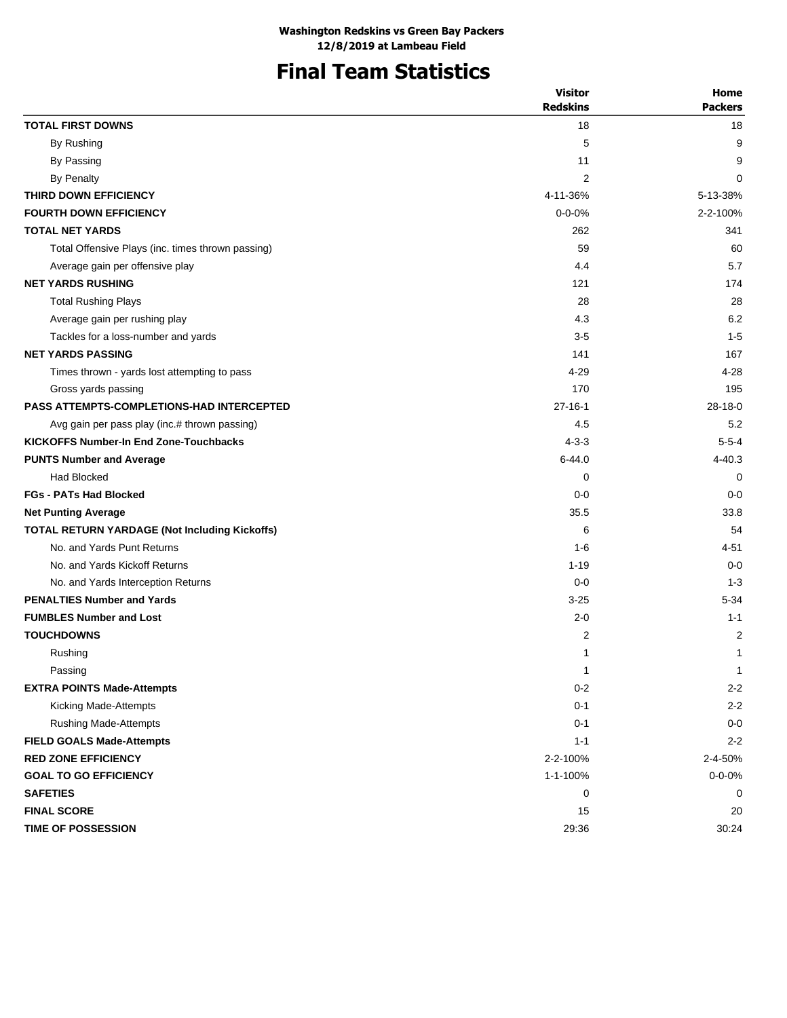## **Final Team Statistics**

|                                                   | <b>Visitor</b><br><b>Redskins</b> | Home<br><b>Packers</b> |
|---------------------------------------------------|-----------------------------------|------------------------|
| <b>TOTAL FIRST DOWNS</b>                          | 18                                | 18                     |
| By Rushing                                        | 5                                 | 9                      |
| By Passing                                        | 11                                | 9                      |
| <b>By Penalty</b>                                 | 2                                 | 0                      |
| THIRD DOWN EFFICIENCY                             | 4-11-36%                          | 5-13-38%               |
| <b>FOURTH DOWN EFFICIENCY</b>                     | $0 - 0 - 0%$                      | 2-2-100%               |
| <b>TOTAL NET YARDS</b>                            | 262                               | 341                    |
| Total Offensive Plays (inc. times thrown passing) | 59                                | 60                     |
| Average gain per offensive play                   | 4.4                               | 5.7                    |
| <b>NET YARDS RUSHING</b>                          | 121                               | 174                    |
| <b>Total Rushing Plays</b>                        | 28                                | 28                     |
| Average gain per rushing play                     | 4.3                               | 6.2                    |
| Tackles for a loss-number and yards               | $3-5$                             | $1 - 5$                |
| <b>NET YARDS PASSING</b>                          | 141                               | 167                    |
| Times thrown - yards lost attempting to pass      | 4-29                              | 4-28                   |
| Gross yards passing                               | 170                               | 195                    |
| <b>PASS ATTEMPTS-COMPLETIONS-HAD INTERCEPTED</b>  | $27 - 16 - 1$                     | $28 - 18 - 0$          |
| Avg gain per pass play (inc.# thrown passing)     | 4.5                               | 5.2                    |
| <b>KICKOFFS Number-In End Zone-Touchbacks</b>     | $4 - 3 - 3$                       | $5 - 5 - 4$            |
| <b>PUNTS Number and Average</b>                   | $6 - 44.0$                        | $4 - 40.3$             |
| Had Blocked                                       | 0                                 | 0                      |
| <b>FGs - PATs Had Blocked</b>                     | $0 - 0$                           | $0 - 0$                |
| <b>Net Punting Average</b>                        | 35.5                              | 33.8                   |
| TOTAL RETURN YARDAGE (Not Including Kickoffs)     | 6                                 | 54                     |
| No. and Yards Punt Returns                        | $1 - 6$                           | $4 - 51$               |
| No. and Yards Kickoff Returns                     | $1 - 19$                          | $0 - 0$                |
| No. and Yards Interception Returns                | $0 - 0$                           | $1 - 3$                |
| <b>PENALTIES Number and Yards</b>                 | $3 - 25$                          | $5 - 34$               |
| <b>FUMBLES Number and Lost</b>                    | $2 - 0$                           | $1 - 1$                |
| <b>TOUCHDOWNS</b>                                 | 2                                 | 2                      |
| Rushing                                           | 1                                 | 1                      |
| Passing                                           | $\mathbf{1}$                      | $\mathbf 1$            |
| <b>EXTRA POINTS Made-Attempts</b>                 | $0 - 2$                           | $2 - 2$                |
| Kicking Made-Attempts                             | $0 - 1$                           | $2 - 2$                |
| <b>Rushing Made-Attempts</b>                      | $0 - 1$                           | $0-0$                  |
| <b>FIELD GOALS Made-Attempts</b>                  | $1 - 1$                           | $2 - 2$                |
| <b>RED ZONE EFFICIENCY</b>                        | 2-2-100%                          | 2-4-50%                |
| <b>GOAL TO GO EFFICIENCY</b>                      | 1-1-100%                          | $0 - 0 - 0%$           |
| <b>SAFETIES</b>                                   | 0                                 | 0                      |
| <b>FINAL SCORE</b>                                | 15                                | 20                     |
| <b>TIME OF POSSESSION</b>                         | 29:36                             | 30:24                  |
|                                                   |                                   |                        |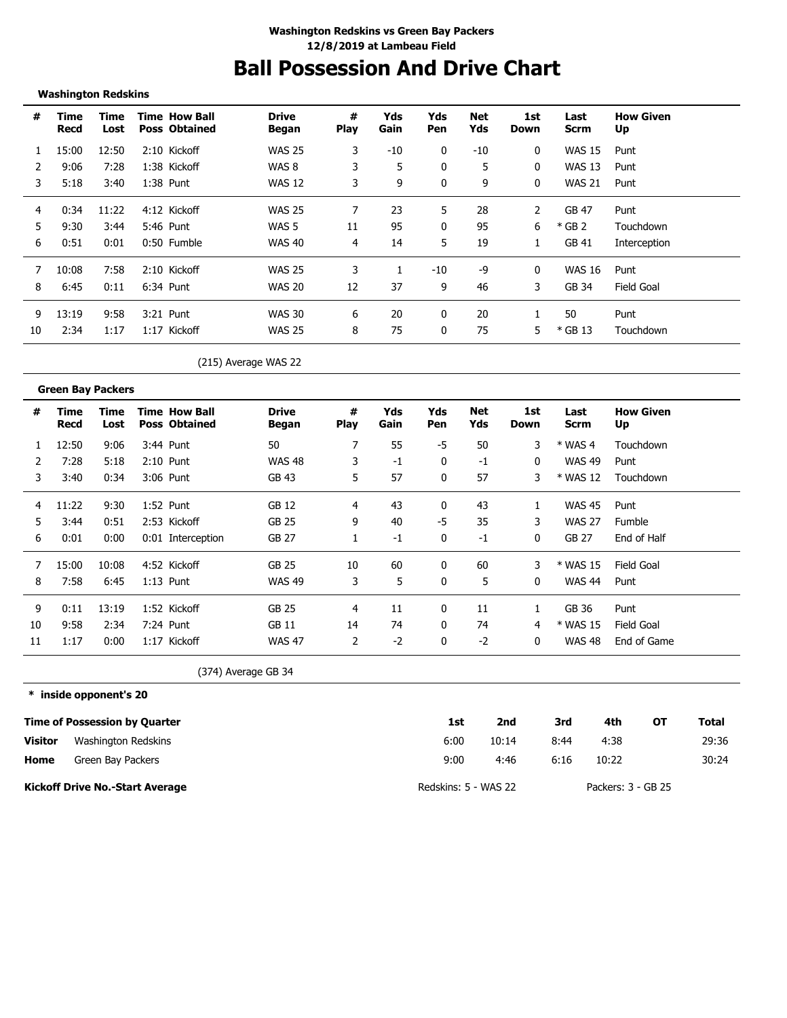### **Ball Possession And Drive Chart**

#### **Washington Redskins**

| #  | Time<br>Recd | Time<br>Lost | <b>Time How Ball</b><br><b>Poss Obtained</b> | <b>Drive</b><br>Began | #<br><b>Play</b> | Yds<br>Gain | Yds<br>Pen | Net<br>Yds | 1st<br>Down | Last<br>Scrm  | <b>How Given</b><br>Up |
|----|--------------|--------------|----------------------------------------------|-----------------------|------------------|-------------|------------|------------|-------------|---------------|------------------------|
|    | 15:00        | 12:50        | 2:10 Kickoff                                 | <b>WAS 25</b>         | 3                | -10         | 0          | $-10$      | 0           | <b>WAS 15</b> | Punt                   |
|    | 9:06         | 7:28         | 1:38 Kickoff                                 | WAS 8                 | 3                | 5           | 0          | 5          | 0           | <b>WAS 13</b> | Punt                   |
| 3  | 5:18         | 3:40         | 1:38 Punt                                    | <b>WAS 12</b>         | 3                | 9           | $\Omega$   | 9          | 0           | <b>WAS 21</b> | Punt                   |
| 4  | 0:34         | 11:22        | 4:12 Kickoff                                 | <b>WAS 25</b>         |                  | 23          | 5          | 28         | 2           | <b>GB 47</b>  | Punt                   |
| 5  | 9:30         | 3:44         | 5:46 Punt                                    | WAS 5                 | 11               | 95          | 0          | 95         | 6           | $*$ GB 2      | Touchdown              |
| 6  | 0:51         | 0:01         | 0:50 Fumble                                  | <b>WAS 40</b>         | 4                | 14          | 5          | 19         |             | GB 41         | Interception           |
|    | 10:08        | 7:58         | 2:10 Kickoff                                 | <b>WAS 25</b>         | 3                |             | $-10$      | -9         | 0           | WAS 16        | Punt                   |
| 8  | 6:45         | 0:11         | 6:34 Punt                                    | WAS 20                | 12               | 37          | 9          | 46         | 3           | GB 34         | Field Goal             |
| 9  | 13:19        | 9:58         | 3:21 Punt                                    | <b>WAS 30</b>         | 6                | 20          |            | 20         |             | 50            | Punt                   |
| 10 | 2:34         | 1:17         | 1:17 Kickoff                                 | <b>WAS 25</b>         | 8                | 75          | 0          | 75         | 5           | $*$ GB 13     | Touchdown              |

(215) Average WAS 22

|    | <b>Green Bay Packers</b> |              |                                              |                       |                  |             |            |            |             |               |                        |
|----|--------------------------|--------------|----------------------------------------------|-----------------------|------------------|-------------|------------|------------|-------------|---------------|------------------------|
| #  | Time<br>Recd             | Time<br>Lost | <b>Time How Ball</b><br><b>Poss Obtained</b> | <b>Drive</b><br>Began | #<br><b>Play</b> | Yds<br>Gain | Yds<br>Pen | Net<br>Yds | 1st<br>Down | Last<br>Scrm  | <b>How Given</b><br>Up |
|    | 12:50                    | 9:06         | 3:44 Punt                                    | 50                    | 7                | 55          | -5         | 50         | 3           | $*$ WAS 4     | Touchdown              |
|    | 7:28                     | 5:18         | $2:10$ Punt                                  | <b>WAS 48</b>         | 3                | -1          | 0          | $-1$       | 0           | <b>WAS 49</b> | Punt                   |
| 3  | 3:40                     | 0:34         | 3:06 Punt                                    | GB 43                 | 5                | 57          | 0          | 57         | 3           | * WAS 12      | Touchdown              |
| 4  | 11:22                    | 9:30         | 1:52 Punt                                    | GB 12                 | 4                | 43          | 0          | 43         | 1           | <b>WAS 45</b> | Punt                   |
| 5. | 3:44                     | 0:51         | 2:53 Kickoff                                 | GB 25                 | 9                | 40          | -5         | 35         | 3           | <b>WAS 27</b> | Fumble                 |
| 6  | 0:01                     | 0:00         | 0:01 Interception                            | GB 27                 |                  | $-1$        | 0          | $-1$       | 0           | GB 27         | End of Half            |
| 7  | 15:00                    | 10:08        | 4:52 Kickoff                                 | GB 25                 | 10               | 60          | 0          | 60         | 3           | * WAS 15      | Field Goal             |
| 8  | 7:58                     | 6:45         | $1:13$ Punt                                  | <b>WAS 49</b>         | 3                | 5           | 0          | 5          | 0           | <b>WAS 44</b> | Punt                   |
| 9  | 0:11                     | 13:19        | 1:52 Kickoff                                 | <b>GB 25</b>          | 4                | 11          | 0          | 11         |             | GB 36         | Punt                   |
| 10 | 9:58                     | 2:34         | 7:24 Punt                                    | GB 11                 | 14               | 74          | 0          | 74         | 4           | * WAS 15      | Field Goal             |
| 11 | 1:17                     | 0:00         | 1:17 Kickoff                                 | <b>WAS 47</b>         | 2                | $-2$        | 0          | $-2$       | 0           | <b>WAS 48</b> | End of Game            |

(374) Average GB 34

#### **\* inside opponent's 20**

|                | <b>Time of Possession by Quarter</b>   | 1st                  | 2nd   | 3rd  | 4th                | ΟТ | Total |
|----------------|----------------------------------------|----------------------|-------|------|--------------------|----|-------|
| <b>Visitor</b> | Washington Redskins                    | 6:00                 | 10:14 | 8:44 | 4:38               |    | 29:36 |
| Home           | Green Bay Packers                      | 9:00                 | 4:46  | 6:16 | 10:22              |    | 30:24 |
|                | <b>Kickoff Drive No.-Start Average</b> | Redskins: 5 - WAS 22 |       |      | Packers: 3 - GB 25 |    |       |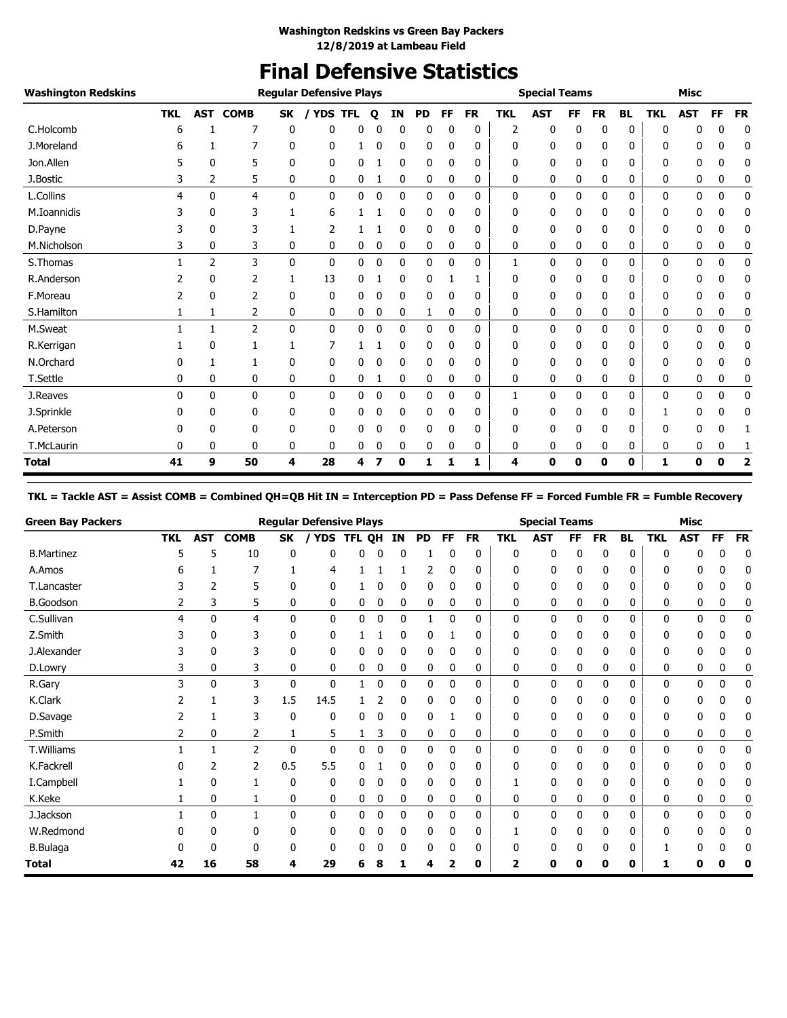### **Final Defensive Statistics**

| <b>Washington Redskins</b> |            |              |                |              | <b>Regular Defensive Plays</b> |            |   |              |           |              |           |            | <b>Special Teams</b> |    |           |              |            | <b>Misc</b>  |    |             |
|----------------------------|------------|--------------|----------------|--------------|--------------------------------|------------|---|--------------|-----------|--------------|-----------|------------|----------------------|----|-----------|--------------|------------|--------------|----|-------------|
|                            | <b>TKL</b> | <b>AST</b>   | <b>COMB</b>    | SK           | / YDS                          | <b>TFL</b> | Q | ΙN           | <b>PD</b> | FF           | <b>FR</b> | <b>TKL</b> | <b>AST</b>           | FF | <b>FR</b> | <b>BL</b>    | <b>TKL</b> | <b>AST</b>   | FF | <b>FR</b>   |
| C.Holcomb                  | 6          |              | 7              | 0            | 0                              | 0          | 0 | $\mathbf{0}$ | 0         | 0            | 0         | 2          | 0                    | 0  | 0         | 0            | 0          | 0            | 0  | 0           |
| J.Moreland                 | 6          |              |                | 0            | 0                              |            | 0 | 0            | 0         | 0            | 0         | 0          | 0                    | 0  | 0         | 0            | ŋ          | 0            | 0  | 0           |
| Jon.Allen                  | 5          | 0            | 5              | 0            | 0                              | 0          |   | 0            | 0         | 0            | 0         | 0          | 0                    | 0  | 0         | 0            | 0          | 0            | 0  | 0           |
| J.Bostic                   | 3          | 2            | 5              | 0            | 0                              | 0          | 1 | 0            | 0         | 0            | 0         | 0          | 0                    | 0  | 0         | 0            | 0          | 0            | 0  | 0           |
| L.Collins                  | 4          | $\mathbf{0}$ | $\overline{4}$ | $\mathbf{0}$ | 0                              | 0          | 0 | 0            | 0         | 0            | 0         | 0          | 0                    | 0  | 0         | 0            | 0          | 0            | 0  | 0           |
| M.Ioannidis                | 3          | 0            | 3              | 1            | 6                              |            |   | 0            | 0         | 0            | 0         | 0          | 0                    | 0  | 0         | 0            | 0          | 0            | 0  | 0           |
| D.Payne                    |            | 0            | 3              |              | 2                              |            |   | 0            | 0         | 0            | 0         | 0          | 0                    | 0  | 0         | 0            | 0          | 0            | 0  | 0           |
| M.Nicholson                | 3          | 0            | 3              | 0            | 0                              | 0          | 0 | 0            | 0         | 0            | 0         | 0          | 0                    | 0  | 0         | 0            | 0          | 0            | 0  | 0           |
| S. Thomas                  |            | 2            | 3              | 0            | 0                              | 0          | 0 | 0            | 0         | $\mathbf{0}$ | 0         | 1          | 0                    | 0  | 0         | 0            | 0          | 0            | 0  | 0           |
| R.Anderson                 |            | 0            | 2              |              | 13                             | 0          |   | 0            | 0         |              |           | 0          | 0                    | 0  | 0         | 0            | 0          | 0            | 0  | 0           |
| F.Moreau                   | 2          | 0            | 2              | 0            | 0                              | 0          | 0 | 0            | 0         | 0            | 0         | 0          | 0                    | 0  | 0         | 0            | 0          | 0            | 0  | 0           |
| S.Hamilton                 | 1          | 1            | 2              | 0            | 0                              | 0          | 0 | 0            | 1         | 0            | 0         | 0          | 0                    | 0  | 0         | 0            | 0          | 0            | 0  | 0           |
| M.Sweat                    | 1          | 1            | $\overline{2}$ | 0            | 0                              | 0          | 0 | 0            | 0         | 0            | 0         | 0          | 0                    | 0  | 0         | $\mathbf{0}$ | 0          | $\mathbf{0}$ | 0  | 0           |
| R.Kerrigan                 |            | 0            |                | 1            | 7                              |            |   | 0            | 0         | 0            | 0         | 0          | 0                    | 0  | 0         | 0            | 0          | 0            | 0  | 0           |
| N.Orchard                  | 0          |              |                | 0            | 0                              | 0          | 0 | 0            | 0         | 0            | 0         | 0          | 0                    | 0  | 0         | 0            | 0          | 0            | 0  | 0           |
| T.Settle                   | 0          | 0            | 0              | 0            | 0                              | 0          | 1 | 0            | 0         | 0            | 0         | 0          | 0                    | 0  | 0         | 0            | 0          | 0            | 0  | 0           |
| J.Reaves                   | $\Omega$   | 0            | 0              | $\mathbf{0}$ | 0                              | 0          | 0 | 0            | 0         | 0            | 0         | 1          | 0                    | 0  | 0         | $\mathbf{0}$ | 0          | 0            | 0  | $\mathbf 0$ |
| J.Sprinkle                 | 0          | 0            | 0              | 0            | 0                              | 0          | 0 | 0            | 0         | 0            | 0         | 0          | 0                    | 0  | 0         | 0            |            | 0            | 0  | 0           |
| A.Peterson                 | n          | 0            | 0              | 0            | 0                              | 0          | 0 | 0            | 0         | 0            | 0         | 0          | 0                    | 0  | 0         | 0            | 0          | 0            | 0  |             |
| T.McLaurin                 | 0          | 0            | 0              | 0            | 0                              | 0          | 0 | 0            | 0         | 0            | 0         | 0          | 0                    | 0  | 0         | 0            | 0          | 0            | 0  |             |
| <b>Total</b>               | 41         | 9            | 50             | 4            | 28                             | 4          |   | 0            | 1         | 1            | 1         | 4          | 0                    | 0  | 0         | 0            | 1          | 0            | 0  | 2           |

#### **TKL = Tackle AST = Assist COMB = Combined QH=QB Hit IN = Interception PD = Pass Defense FF = Forced Fumble FR = Fumble Recovery**

| <b>Green Bay Packers</b> |            |            |                |     | <b>Regular Defensive Plays</b> |            |           |    |           |              |           |            | <b>Special Teams</b> |     |              |           |            | <b>Misc</b> |    |           |
|--------------------------|------------|------------|----------------|-----|--------------------------------|------------|-----------|----|-----------|--------------|-----------|------------|----------------------|-----|--------------|-----------|------------|-------------|----|-----------|
|                          | <b>TKL</b> | <b>AST</b> | <b>COMB</b>    | SK  | <b>YDS</b>                     | <b>TFL</b> | <b>OH</b> | ΙN | <b>PD</b> | FF.          | <b>FR</b> | <b>TKL</b> | <b>AST</b>           | FF. | <b>FR</b>    | <b>BL</b> | <b>TKL</b> | <b>AST</b>  | FF | <b>FR</b> |
| <b>B.Martinez</b>        | 5          | 5          | 10             | 0   | 0                              | 0          | 0         | 0  |           | 0            | 0         | 0          | 0                    | 0   | 0            | 0         | 0          |             | 0  | 0         |
| A.Amos                   | h          |            |                |     | 4                              |            |           |    |           | n            | 0         | 0          | 0                    | 0   | 0            | 0         |            |             |    | 0         |
| T.Lancaster              |            | 2          | 5              | 0   | 0                              |            |           |    | 0         | 0            | 0         | 0          | 0                    | 0   | 0            | 0         | n          |             |    | 0         |
| <b>B.Goodson</b>         | 2          | 3          | 5              | 0   | 0                              | 0          | 0         | 0  | 0         | 0            | 0         | 0          | 0                    | 0   | 0            | 0         | 0          | 0           | 0  | 0         |
| C.Sullivan               | 4          | 0          | 4              | 0   | 0                              | 0          | 0         | 0  |           | 0            | 0         | 0          | 0                    | 0   | $\mathbf{0}$ | 0         | 0          | 0           | 0  | 0         |
| Z.Smith                  |            | 0          | 3              | 0   | 0                              |            |           |    | 0         |              | 0         | 0          | 0                    | 0   | 0            | 0         | 0          | n           |    | 0         |
| J.Alexander              |            | 0          | 3              | 0   | 0                              | 0          | 0         | 0  | 0         | 0            | 0         | 0          | 0                    | 0   | 0            | 0         | 0          | 0           | 0  | 0         |
| D.Lowry                  | 3          | 0          | 3              | 0   | 0                              | 0          | 0         | 0  | 0         | 0            | 0         | 0          | 0                    | 0   | 0            | 0         | 0          | 0           | 0  | 0         |
| R.Gary                   | 3          | 0          | 3              | 0   | 0                              |            | 0         | 0  | 0         | $\mathbf{0}$ | 0         | 0          | 0                    | 0   | 0            | 0         | 0          | 0           | 0  | 0         |
| K.Clark                  |            |            | 3              | 1.5 | 14.5                           |            |           | 0  | 0         | 0            | 0         | 0          | 0                    | 0   | 0            | 0         | 0          | 0           |    | 0         |
| D.Savage                 |            |            | 3              | 0   | 0                              | 0          | 0         | 0  | 0         |              | 0         | 0          | 0                    | 0   | 0            | 0         | 0          | 0           | 0  | 0         |
| P.Smith                  | 2          | 0          | 2              |     | 5                              |            | 3         | 0  | 0         | 0            | 0         | 0          | 0                    | 0   | 0            | 0         | 0          | 0           | 0  |           |
| T.Williams               |            |            | $\overline{2}$ | 0   | 0                              | 0          | 0         | 0  | 0         | 0            | 0         | 0          | 0                    | 0   | 0            | 0         | 0          | 0           | 0  | 0         |
| K.Fackrell               |            | 2          | $\overline{2}$ | 0.5 | 5.5                            | 0          |           | 0  | 0         | 0            | 0         | 0          | 0                    | 0   | 0            | 0         | 0          | 0           |    | 0         |
| I.Campbell               |            | 0          |                | 0   | 0                              | 0          | 0         | 0  | 0         | 0            | 0         |            | 0                    | 0   | 0            | 0         | 0          |             | 0  | 0         |
| K.Keke                   |            | 0          |                | 0   | 0                              | 0          | 0         | 0  | 0         | 0            | 0         | 0          | 0                    | 0   | 0            | 0         | 0          | 0           | 0  | 0         |
| J.Jackson                |            | 0          |                | 0   | 0                              | 0          | 0         | 0  | 0         | 0            | 0         | 0          | 0                    | 0   | 0            | 0         | 0          | 0           | 0  | 0         |
| W.Redmond                |            | 0          | 0              | 0   | 0                              | 0          | 0         | 0  | 0         | 0            | 0         |            | 0                    | 0   | 0            | 0         | 0          | 0           | U  | 0         |
| <b>B.Bulaga</b>          |            |            | 0              | 0   | 0                              |            |           |    |           |              | 0         |            | 0                    | 0   | 0            | 0         |            |             |    |           |
| <b>Total</b>             | 42         | 16         | 58             | 4   | 29                             | 6          |           |    |           | 2            | 0         | 2          | ŋ                    | Ω   | Ω            | 0         |            |             |    | 0         |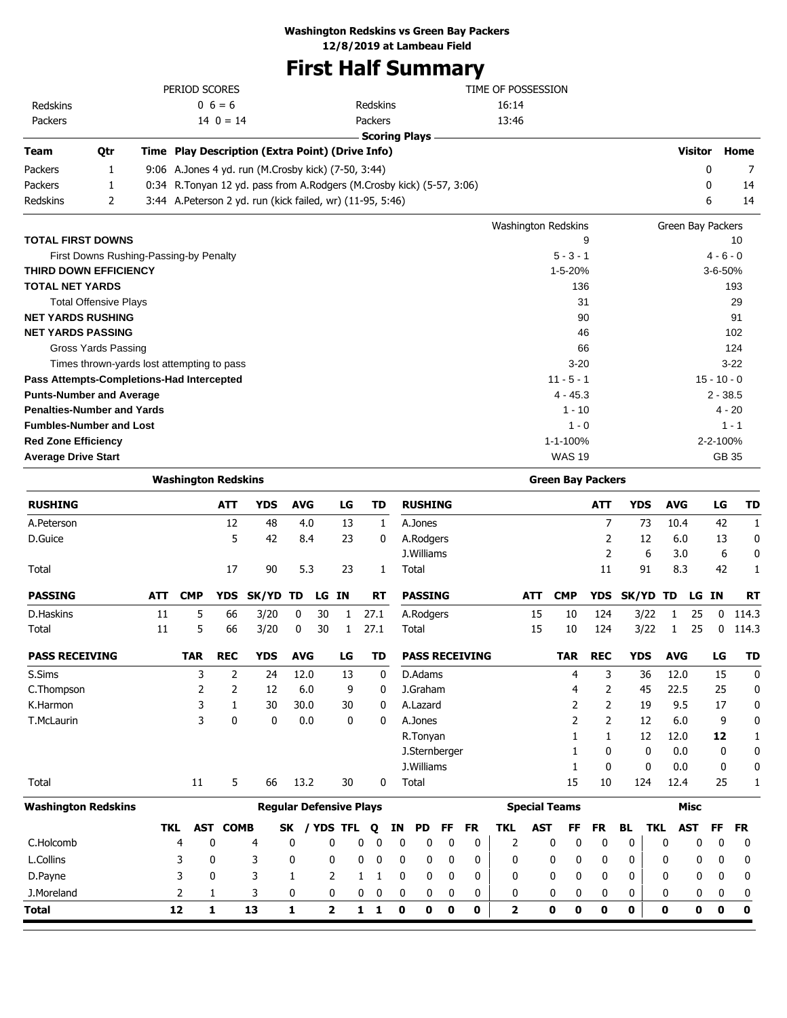### **Washington Redskins vs Green Bay Packers**

**12/8/2019 at Lambeau Field**

### **First Half Summary**

|             |     | PERIOD SCORES                                       |                                                                       | TIME OF POSSESSION |         |      |
|-------------|-----|-----------------------------------------------------|-----------------------------------------------------------------------|--------------------|---------|------|
| Redskins    |     | $0\;6=6$                                            | Redskins                                                              | 16:14              |         |      |
| Packers     |     | $14 \t0 = 14$                                       | <b>Packers</b>                                                        | 13:46              |         |      |
|             |     |                                                     | Scoring Plays -                                                       |                    |         |      |
| <b>Team</b> | 0tr | Time Play Description (Extra Point) (Drive Info)    |                                                                       |                    | Visitor | Home |
| Packers     |     | 9:06 A.Jones 4 yd. run (M.Crosby kick) (7-50, 3:44) |                                                                       |                    |         |      |
| Packers     |     |                                                     | 0:34 R.Tonyan 12 yd. pass from A.Rodgers (M.Crosby kick) (5-57, 3:06) |                    |         | 14   |

Redskins 2 3:44 A.Peterson 2 yd. run (kick failed, wr) (11-95, 5:46) 6 14

|                                            | <b>Washington Redskins</b> | Green Bay Packers |
|--------------------------------------------|----------------------------|-------------------|
| <b>TOTAL FIRST DOWNS</b>                   | 9                          | 10                |
| First Downs Rushing-Passing-by Penalty     | $5 - 3 - 1$                | $4 - 6 - 0$       |
| THIRD DOWN EFFICIENCY                      | 1-5-20%                    | $3 - 6 - 50%$     |
| <b>TOTAL NET YARDS</b>                     | 136                        | 193               |
| <b>Total Offensive Plays</b>               | 31                         | 29                |
| <b>NET YARDS RUSHING</b>                   | 90                         | 91                |
| <b>NET YARDS PASSING</b>                   | 46                         | 102               |
| Gross Yards Passing                        | 66                         | 124               |
| Times thrown-yards lost attempting to pass | $3 - 20$                   | $3-22$            |
| Pass Attempts-Completions-Had Intercepted  | $11 - 5 - 1$               | $15 - 10 - 0$     |
| <b>Punts-Number and Average</b>            | $4 - 45.3$                 | $2 - 38.5$        |
| <b>Penalties-Number and Yards</b>          | $1 - 10$                   | $4 - 20$          |
| <b>Fumbles-Number and Lost</b>             | $1 - 0$                    | $1 - 1$           |
| <b>Red Zone Efficiency</b>                 | 1-1-100%                   | 2-2-100%          |
| <b>Average Drive Start</b>                 | <b>WAS 19</b>              | GB 35             |

|                            |            | <b>Washington Redskins</b> |             |                                |             |    |              |           |              |                |              |             |                       |            |                         |            |            | <b>Green Bay Packers</b> |            |            |            |            |             |             |
|----------------------------|------------|----------------------------|-------------|--------------------------------|-------------|----|--------------|-----------|--------------|----------------|--------------|-------------|-----------------------|------------|-------------------------|------------|------------|--------------------------|------------|------------|------------|------------|-------------|-------------|
| <b>RUSHING</b>             |            |                            | <b>ATT</b>  | <b>YDS</b>                     | <b>AVG</b>  |    | LG           | TD        |              | <b>RUSHING</b> |              |             |                       |            |                         |            |            | <b>ATT</b>               | <b>YDS</b> |            | <b>AVG</b> |            | LG          | <b>TD</b>   |
| A.Peterson                 |            |                            | 12          | 48                             | 4.0         |    | 13           |           | $\mathbf{1}$ | A.Jones        |              |             |                       |            |                         |            |            | $\overline{7}$           |            | 73         | 10.4       |            | 42          | 1           |
| D.Guice                    |            |                            | 5           | 42                             | 8.4         |    | 23           |           | 0            | A.Rodgers      |              |             |                       |            |                         |            |            | 2                        |            | 12         | 6.0        |            | 13          | 0           |
|                            |            |                            |             |                                |             |    |              |           |              | J.Williams     |              |             |                       |            |                         |            |            | $\overline{2}$           |            | 6          | 3.0        |            | 6           | 0           |
| Total                      |            |                            | 17          | 90                             | 5.3         |    | 23           |           | 1            | Total          |              |             |                       |            |                         |            |            | 11                       |            | 91         | 8.3        |            | 42          | 1           |
| <b>PASSING</b>             | <b>ATT</b> | <b>CMP</b>                 | <b>YDS</b>  | SK/YD                          | TD          | LG | <b>IN</b>    | <b>RT</b> |              | <b>PASSING</b> |              |             |                       |            | <b>ATT</b>              | <b>CMP</b> |            | <b>YDS</b>               | SK/YD      |            | TD         | LG         | <b>IN</b>   | <b>RT</b>   |
| D.Haskins                  | 11         | 5                          | 66          | 3/20                           | $\mathbf 0$ | 30 | 1            | 27.1      |              | A.Rodgers      |              |             |                       |            | 15                      |            | 10         | 124                      |            | 3/22       | 1          | 25         | $\mathbf 0$ | 114.3       |
| Total                      | 11         | 5                          | 66          | 3/20                           | 0           | 30 | $\mathbf{1}$ | 27.1      |              | Total          |              |             |                       |            | 15                      |            | 10         | 124                      |            | 3/22       | 1          | 25         | 0           | 114.3       |
| <b>PASS RECEIVING</b>      |            | <b>TAR</b>                 | <b>REC</b>  | <b>YDS</b>                     | <b>AVG</b>  |    | LG           | <b>TD</b> |              |                |              |             | <b>PASS RECEIVING</b> |            |                         |            | <b>TAR</b> | <b>REC</b>               | <b>YDS</b> |            | <b>AVG</b> |            | LG          | <b>TD</b>   |
| S.Sims                     |            | 3                          | 2           | 24                             | 12.0        |    | 13           |           | 0            | D.Adams        |              |             |                       |            |                         |            | 4          | 3                        |            | 36         | 12.0       |            | 15          | 0           |
| C.Thompson                 |            | 2                          | 2           | 12                             | 6.0         |    | 9            |           | 0            | J.Graham       |              |             |                       |            |                         |            | 4          | 2                        |            | 45         | 22.5       |            | 25          | 0           |
| K.Harmon                   |            | 3                          | 1           | 30                             | 30.0        |    | 30           |           | 0            | A.Lazard       |              |             |                       |            |                         |            | 2          | 2                        |            | 19         | 9.5        |            | 17          | $\mathbf 0$ |
| T.McLaurin                 |            | 3                          | 0           | 0                              | 0.0         |    | 0            |           | 0            | A.Jones        |              |             |                       |            |                         |            | 2          | $\overline{2}$           |            | 12         | 6.0        |            | 9           | 0           |
|                            |            |                            |             |                                |             |    |              |           |              | R.Tonyan       |              |             |                       |            |                         |            |            | 1                        |            | 12         | 12.0       |            | 12          | 1           |
|                            |            |                            |             |                                |             |    |              |           |              | J.Sternberger  |              |             |                       |            |                         |            |            | 0                        |            | 0          | 0.0        |            | 0           | 0           |
|                            |            |                            |             |                                |             |    |              |           |              | J.Williams     |              |             |                       |            |                         |            | 1          | 0                        |            | 0          | 0.0        |            | 0           | 0           |
| Total                      |            | 11                         | 5           | 66                             | 13.2        |    | 30           |           | 0            | Total          |              |             |                       |            |                         |            | 15         | 10                       |            | 124        | 12.4       |            | 25          | 1           |
| <b>Washington Redskins</b> |            |                            |             | <b>Regular Defensive Plays</b> |             |    |              |           |              |                |              |             |                       |            | <b>Special Teams</b>    |            |            |                          |            |            |            | Misc       |             |             |
|                            | <b>TKL</b> | <b>AST</b>                 | <b>COMB</b> |                                | <b>SK</b>   |    | / YDS TFL    | O         | ΙN           | <b>PD</b>      |              | FF          | <b>FR</b>             | <b>TKL</b> | <b>AST</b>              |            | FF         | <b>FR</b>                | <b>BL</b>  | <b>TKL</b> |            | <b>AST</b> | FF          | <b>FR</b>   |
| C.Holcomb                  |            | 4                          | 0           | 4                              | 0           |    | 0            | 0<br>0    |              | 0              | 0            | $\mathbf 0$ | 0                     |            | 2                       | 0          | 0          | $\mathbf 0$              | 0          |            | 0          | 0          | 0           | 0           |
| L.Collins                  |            | 3                          | 0           | 3                              | 0           |    | 0            | 0<br>0    |              | 0              | 0            | 0           | 0                     |            | 0                       | 0          | 0          | 0                        | 0          |            | 0          | 0          | 0           | 0           |
| D.Payne                    |            | 3                          | 0           | 3                              | 1           |    | 2            | 1         |              | 0              | $\mathbf{0}$ | 0           | 0                     |            | 0                       | 0          | 0          | 0                        | 0          |            | 0          | 0          | 0           | 0           |
| J.Moreland                 |            | $\overline{2}$             | 1           | 3                              | 0           |    | 0            | 0<br>0    |              | 0              | 0            | 0           | 0                     |            | 0                       | 0          | 0          | 0                        | 0          |            | 0          | 0          | 0           | 0           |
| Total                      |            | 12                         | 1           | 13                             | 1           |    | 2            | 1<br>1    |              | 0              | 0            | 0           | 0                     |            | $\overline{\mathbf{z}}$ | 0          | 0          | 0                        | 0          |            | 0          | 0          | 0           | $\mathbf 0$ |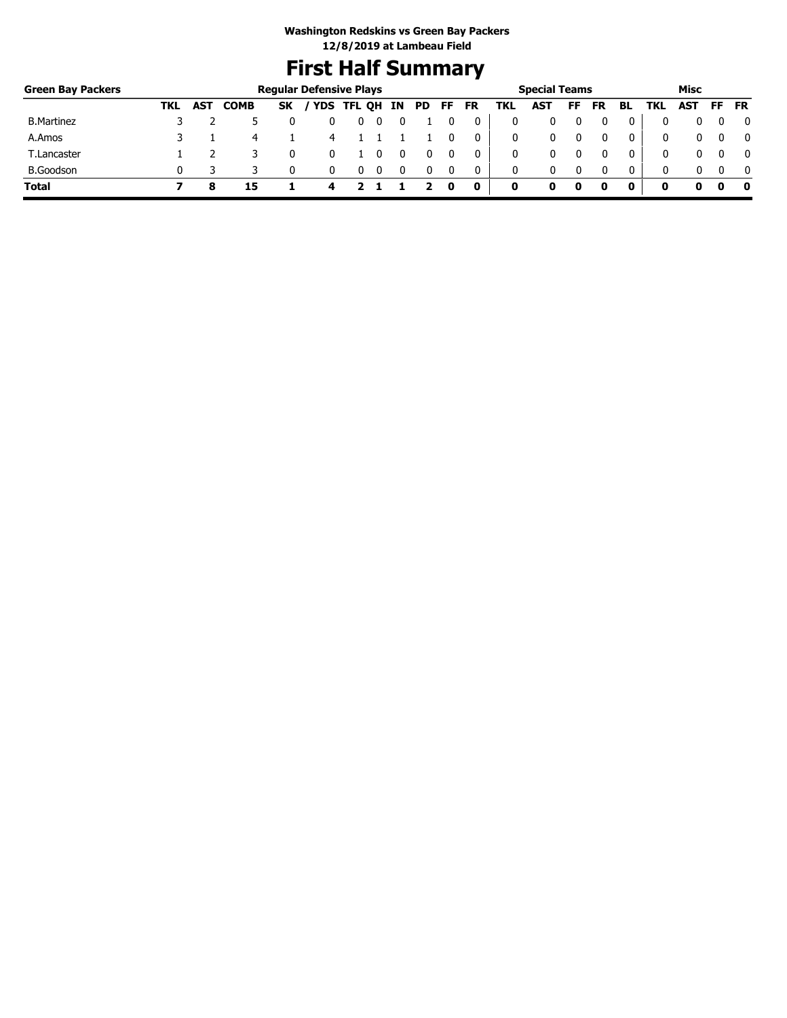# **First Half Summary**

| <b>Green Bay Packers</b> |     |            |             |           | <b>Regular Defensive Plays</b> |             |   |     |     |     |           |     | <b>Special Teams</b> |    |           |              |     | Misc       |     |              |
|--------------------------|-----|------------|-------------|-----------|--------------------------------|-------------|---|-----|-----|-----|-----------|-----|----------------------|----|-----------|--------------|-----|------------|-----|--------------|
|                          | TKL | <b>AST</b> | <b>COMB</b> | <b>SK</b> |                                | 'YDS TFL QH |   | IN. | PD. | FF. | <b>FR</b> | TKL | <b>AST</b>           | FF | <b>FR</b> | BL           | TKL | <b>AST</b> | FF. | <b>FR</b>    |
| <b>B.Martinez</b>        |     |            |             |           |                                |             |   |     |     |     |           |     |                      |    |           |              |     |            |     | 0            |
| A.Amos                   |     |            | 4           |           | 4                              |             |   |     |     |     | 0         | 0   | 0                    |    |           | 0            |     |            |     | $\mathbf{0}$ |
| T.Lancaster              |     |            |             |           |                                |             |   |     |     |     | 0         | 0   | 0                    |    |           | 0            | 0   |            |     | $\mathbf{0}$ |
| <b>B.Goodson</b>         |     |            |             |           |                                | U           | 0 |     |     |     | 0         | 0   | 0                    |    | 0         | $\mathbf{0}$ | 0   |            |     | $\mathbf{0}$ |
| <b>Total</b>             |     |            | 15          |           | 4                              |             |   |     |     | 0   | 0         | 0   |                      | 0  |           | 0            | o   | o          |     | - 0          |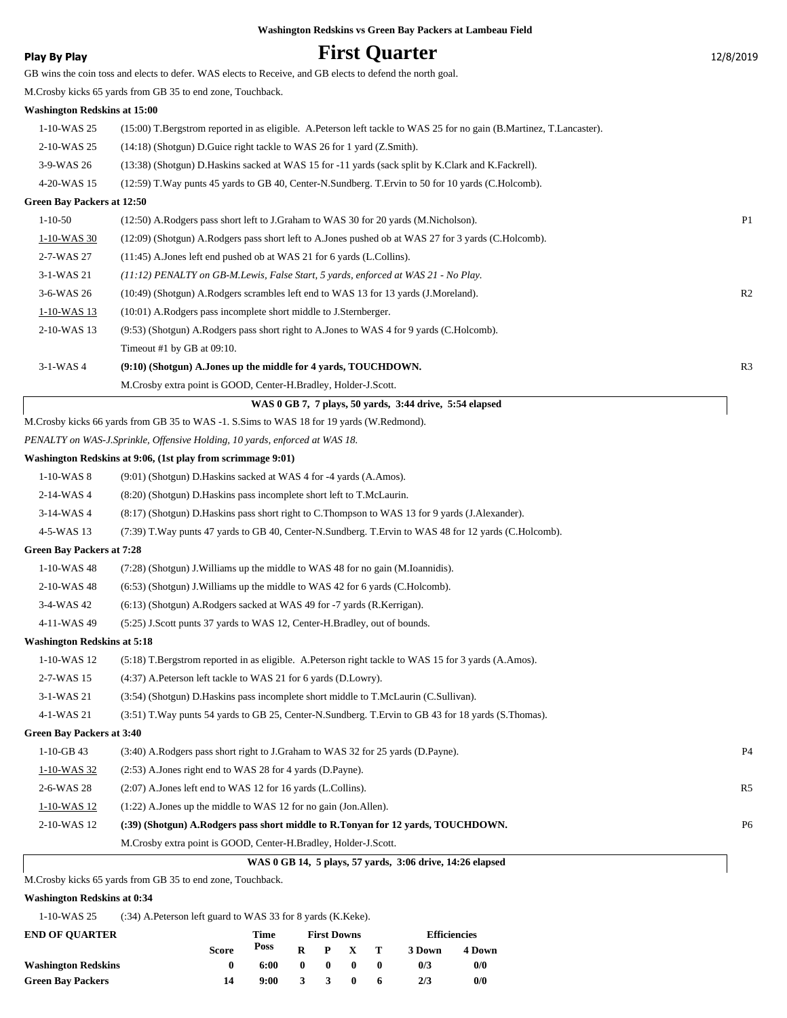| Washington Redskins vs Green Bay Packers at Lambeau Field |
|-----------------------------------------------------------|
| $\mathbf{E}$ $\mathbf{A}$ $\mathbf{A}$ $\mathbf{A}$       |

| <b>Play By Play</b>                 | <b>First Quarter</b>                                                                                                 | 12/8/2019      |
|-------------------------------------|----------------------------------------------------------------------------------------------------------------------|----------------|
|                                     | GB wins the coin toss and elects to defer. WAS elects to Receive, and GB elects to defend the north goal.            |                |
|                                     | M. Crosby kicks 65 yards from GB 35 to end zone, Touchback.                                                          |                |
| <b>Washington Redskins at 15:00</b> |                                                                                                                      |                |
| 1-10-WAS 25                         | (15:00) T.Bergstrom reported in as eligible. A.Peterson left tackle to WAS 25 for no gain (B.Martinez, T.Lancaster). |                |
| 2-10-WAS 25                         | (14:18) (Shotgun) D. Guice right tackle to WAS 26 for 1 yard (Z. Smith).                                             |                |
| 3-9-WAS 26                          | (13:38) (Shotgun) D.Haskins sacked at WAS 15 for -11 yards (sack split by K.Clark and K.Fackrell).                   |                |
| 4-20-WAS 15                         | (12:59) T. Way punts 45 yards to GB 40, Center-N. Sundberg. T. Ervin to 50 for 10 yards (C. Holcomb).                |                |
| <b>Green Bay Packers at 12:50</b>   |                                                                                                                      |                |
| $1 - 10 - 50$                       | (12:50) A.Rodgers pass short left to J.Graham to WAS 30 for 20 yards (M.Nicholson).                                  | P <sub>1</sub> |
| 1-10-WAS 30                         | (12:09) (Shotgun) A.Rodgers pass short left to A.Jones pushed ob at WAS 27 for 3 yards (C.Holcomb).                  |                |
| 2-7-WAS 27                          | $(11:45)$ A.Jones left end pushed ob at WAS 21 for 6 yards (L.Collins).                                              |                |
| 3-1-WAS 21                          | (11:12) PENALTY on GB-M.Lewis, False Start, 5 yards, enforced at WAS 21 - No Play.                                   |                |
| 3-6-WAS 26                          | (10:49) (Shotgun) A.Rodgers scrambles left end to WAS 13 for 13 yards (J.Moreland).                                  | R <sub>2</sub> |
| 1-10-WAS 13                         | (10:01) A.Rodgers pass incomplete short middle to J.Sternberger.                                                     |                |
| 2-10-WAS 13                         | (9:53) (Shotgun) A.Rodgers pass short right to A.Jones to WAS 4 for 9 yards (C.Holcomb).                             |                |
|                                     | Timeout #1 by GB at 09:10.                                                                                           |                |
| $3-1$ -WAS 4                        | (9:10) (Shotgun) A.Jones up the middle for 4 yards, TOUCHDOWN.                                                       | R <sub>3</sub> |
|                                     | M.Crosby extra point is GOOD, Center-H.Bradley, Holder-J.Scott.                                                      |                |
|                                     | WAS 0 GB 7, 7 plays, 50 yards, 3:44 drive, 5:54 elapsed                                                              |                |
|                                     | M.Crosby kicks 66 yards from GB 35 to WAS -1. S.Sims to WAS 18 for 19 yards (W.Redmond).                             |                |
|                                     | PENALTY on WAS-J.Sprinkle, Offensive Holding, 10 yards, enforced at WAS 18.                                          |                |
|                                     | Washington Redskins at 9:06, (1st play from scrimmage 9:01)                                                          |                |
| $1-10-WAS$ 8                        | (9:01) (Shotgun) D. Haskins sacked at WAS 4 for -4 yards (A. Amos).                                                  |                |
| 2-14-WAS4                           | (8:20) (Shotgun) D.Haskins pass incomplete short left to T.McLaurin.                                                 |                |
| 3-14-WAS 4                          | (8:17) (Shotgun) D.Haskins pass short right to C.Thompson to WAS 13 for 9 yards (J.Alexander).                       |                |
| 4-5-WAS 13                          | (7:39) T.Way punts 47 yards to GB 40, Center-N.Sundberg. T.Ervin to WAS 48 for 12 yards (C.Holcomb).                 |                |
| <b>Green Bay Packers at 7:28</b>    |                                                                                                                      |                |
| 1-10-WAS 48                         | (7:28) (Shotgun) J. Williams up the middle to WAS 48 for no gain (M. Ioannidis).                                     |                |
| 2-10-WAS 48                         | $(6:53)$ (Shotgun) J. Williams up the middle to WAS 42 for 6 yards (C. Holcomb).                                     |                |
| 3-4-WAS 42                          | (6:13) (Shotgun) A.Rodgers sacked at WAS 49 for -7 yards (R.Kerrigan).                                               |                |
| 4-11-WAS 49                         | (5:25) J.Scott punts 37 yards to WAS 12, Center-H.Bradley, out of bounds.                                            |                |
| <b>Washington Redskins at 5:18</b>  |                                                                                                                      |                |
| 1-10-WAS 12                         | (5.18) T.Bergstrom reported in as eligible. A.Peterson right tackle to WAS 15 for 3 yards (A.Amos).                  |                |
| 2-7-WAS 15                          | (4:37) A.Peterson left tackle to WAS 21 for 6 yards (D.Lowry).                                                       |                |
| 3-1-WAS 21                          | (3:54) (Shotgun) D. Haskins pass incomplete short middle to T. McLaurin (C. Sullivan).                               |                |
| 4-1-WAS 21                          | (3:51) T. Way punts 54 yards to GB 25, Center-N. Sundberg. T. Ervin to GB 43 for 18 yards (S. Thomas).               |                |
| <b>Green Bay Packers at 3:40</b>    |                                                                                                                      |                |
| $1-10-GB$ 43                        | (3:40) A.Rodgers pass short right to J.Graham to WAS 32 for 25 yards (D.Payne).                                      | P <sub>4</sub> |
| 1-10-WAS 32                         | (2:53) A. Jones right end to WAS 28 for 4 yards (D. Payne).                                                          |                |
| 2-6-WAS 28                          | (2:07) A.Jones left end to WAS 12 for 16 yards (L.Collins).                                                          | R5             |
| $1 - 10$ -WAS 12                    | $(1:22)$ A. Jones up the middle to WAS 12 for no gain (Jon. Allen).                                                  |                |
| 2-10-WAS 12                         | (:39) (Shotgun) A.Rodgers pass short middle to R.Tonyan for 12 yards, TOUCHDOWN.                                     | P <sub>6</sub> |
|                                     | M.Crosby extra point is GOOD, Center-H.Bradley, Holder-J.Scott.                                                      |                |
|                                     | WAS 0 GB 14, 5 plays, 57 yards, 3:06 drive, 14:26 elapsed                                                            |                |
|                                     |                                                                                                                      |                |

M.Crosby kicks 65 yards from GB 35 to end zone, Touchback.

### **Washington Redskins at 0:34**

1-10-WAS 25 (:34) A.Peterson left guard to WAS 33 for 8 yards (K.Keke).

| <b>END OF OUARTER</b>      |              | Time | <b>First Downs</b> |                         |              |              | <b>Efficiencies</b> |        |  |
|----------------------------|--------------|------|--------------------|-------------------------|--------------|--------------|---------------------|--------|--|
|                            | <b>Score</b> | Poss | R                  |                         | P X          | - Т          | 3 Down              | 4 Down |  |
| <b>Washington Redskins</b> |              | 6:00 | 0                  | $\mathbf{0}$            | -0           | $\mathbf{0}$ | 0/3                 | 0/0    |  |
| <b>Green Bay Packers</b>   | 14           | 9:00 | 3.                 | $\overline{\mathbf{3}}$ | $\mathbf{0}$ | 6            | 2/3                 | 0/0    |  |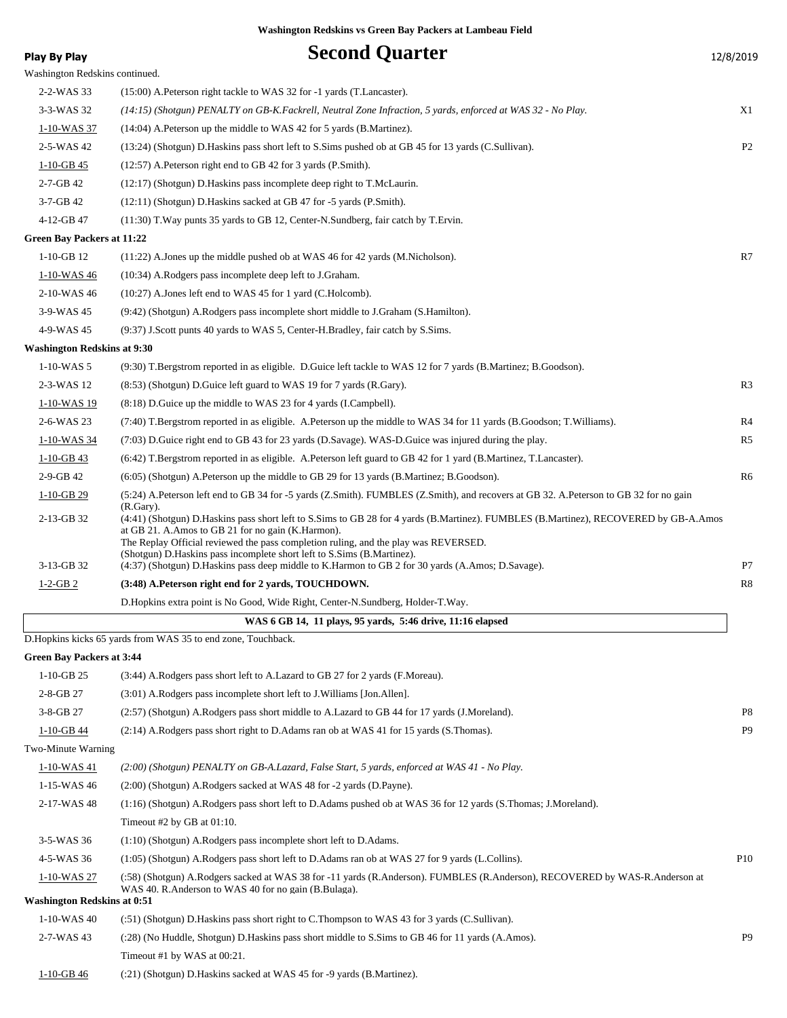| Play By Play                       | <b>Second Quarter</b>                                                                                                                                                                                                                                                                                                                                                      | 12/8/2019       |
|------------------------------------|----------------------------------------------------------------------------------------------------------------------------------------------------------------------------------------------------------------------------------------------------------------------------------------------------------------------------------------------------------------------------|-----------------|
| Washington Redskins continued.     |                                                                                                                                                                                                                                                                                                                                                                            |                 |
| 2-2-WAS 33                         | (15:00) A. Peterson right tackle to WAS 32 for -1 yards (T. Lancaster).                                                                                                                                                                                                                                                                                                    |                 |
| 3-3-WAS 32                         | (14:15) (Shotgun) PENALTY on GB-K.Fackrell, Neutral Zone Infraction, 5 yards, enforced at WAS 32 - No Play.                                                                                                                                                                                                                                                                | X1              |
| 1-10-WAS 37                        | (14:04) A. Peterson up the middle to WAS 42 for 5 yards (B. Martinez).                                                                                                                                                                                                                                                                                                     |                 |
| 2-5-WAS 42                         | (13:24) (Shotgun) D. Haskins pass short left to S. Sims pushed ob at GB 45 for 13 yards (C. Sullivan).                                                                                                                                                                                                                                                                     | P2              |
| $1-10-GB$ 45                       | (12:57) A.Peterson right end to GB 42 for 3 yards (P.Smith).                                                                                                                                                                                                                                                                                                               |                 |
| $2 - 7 - GB$ 42                    | (12:17) (Shotgun) D. Haskins pass incomplete deep right to T. McLaurin.                                                                                                                                                                                                                                                                                                    |                 |
| $3-7-GB$ 42                        | (12:11) (Shotgun) D. Haskins sacked at GB 47 for -5 yards (P. Smith).                                                                                                                                                                                                                                                                                                      |                 |
| 4-12-GB 47                         | (11:30) T. Way punts 35 yards to GB 12, Center-N. Sundberg, fair catch by T. Ervin.                                                                                                                                                                                                                                                                                        |                 |
| Green Bay Packers at 11:22         |                                                                                                                                                                                                                                                                                                                                                                            |                 |
| $1-10-GB$ 12                       | $(11:22)$ A. Jones up the middle pushed ob at WAS 46 for 42 yards (M. Nicholson).                                                                                                                                                                                                                                                                                          | R7              |
| 1-10-WAS 46                        | (10:34) A.Rodgers pass incomplete deep left to J.Graham.                                                                                                                                                                                                                                                                                                                   |                 |
| 2-10-WAS 46                        | $(10:27)$ A. Jones left end to WAS 45 for 1 yard (C. Holcomb).                                                                                                                                                                                                                                                                                                             |                 |
| 3-9-WAS 45                         | (9:42) (Shotgun) A.Rodgers pass incomplete short middle to J.Graham (S.Hamilton).                                                                                                                                                                                                                                                                                          |                 |
| 4-9-WAS 45                         | (9:37) J.Scott punts 40 yards to WAS 5, Center-H.Bradley, fair catch by S.Sims.                                                                                                                                                                                                                                                                                            |                 |
| <b>Washington Redskins at 9:30</b> |                                                                                                                                                                                                                                                                                                                                                                            |                 |
| $1 - 10$ -WAS 5                    | (9:30) T.Bergstrom reported in as eligible. D.Guice left tackle to WAS 12 for 7 yards (B.Martinez; B.Goodson).                                                                                                                                                                                                                                                             |                 |
| 2-3-WAS 12                         | (8:53) (Shotgun) D. Guice left guard to WAS 19 for 7 yards (R. Gary).                                                                                                                                                                                                                                                                                                      | R <sub>3</sub>  |
| 1-10-WAS 19                        | (8:18) D. Guice up the middle to WAS 23 for 4 yards (I. Campbell).                                                                                                                                                                                                                                                                                                         |                 |
| 2-6-WAS 23                         | (7:40) T.Bergstrom reported in as eligible. A.Peterson up the middle to WAS 34 for 11 yards (B.Goodson; T.Williams).                                                                                                                                                                                                                                                       | R <sub>4</sub>  |
| 1-10-WAS 34                        | (7:03) D. Guice right end to GB 43 for 23 yards (D. Savage). WAS-D. Guice was injured during the play.                                                                                                                                                                                                                                                                     | R <sub>5</sub>  |
| $1-10-GB$ 43                       | (6:42) T.Bergstrom reported in as eligible. A.Peterson left guard to GB 42 for 1 yard (B.Martinez, T.Lancaster).                                                                                                                                                                                                                                                           |                 |
| 2-9-GB 42                          | (6:05) (Shotgun) A.Peterson up the middle to GB 29 for 13 yards (B.Martinez; B.Goodson).                                                                                                                                                                                                                                                                                   | R <sub>6</sub>  |
| $1-10-GB$ 29                       | (5:24) A.Peterson left end to GB 34 for -5 yards (Z.Smith). FUMBLES (Z.Smith), and recovers at GB 32. A.Peterson to GB 32 for no gain                                                                                                                                                                                                                                      |                 |
| 2-13-GB 32                         | $(R.Gary)$ .<br>(4:41) (Shotgun) D.Haskins pass short left to S.Sims to GB 28 for 4 yards (B.Martinez). FUMBLES (B.Martinez), RECOVERED by GB-A.Amos<br>at GB 21. A.Amos to GB 21 for no gain (K.Harmon).<br>The Replay Official reviewed the pass completion ruling, and the play was REVERSED.<br>(Shotgun) D.Haskins pass incomplete short left to S.Sims (B.Martinez). |                 |
| 3-13-GB 32                         | (4:37) (Shotgun) D.Haskins pass deep middle to K.Harmon to GB 2 for 30 yards (A.Amos; D.Savage).                                                                                                                                                                                                                                                                           | P7              |
| $1-2-GB2$                          | (3:48) A.Peterson right end for 2 yards, TOUCHDOWN.                                                                                                                                                                                                                                                                                                                        | R8              |
|                                    | D. Hopkins extra point is No Good, Wide Right, Center-N. Sundberg, Holder-T. Way.                                                                                                                                                                                                                                                                                          |                 |
|                                    | WAS 6 GB 14, 11 plays, 95 yards, 5:46 drive, 11:16 elapsed                                                                                                                                                                                                                                                                                                                 |                 |
|                                    | D. Hopkins kicks 65 yards from WAS 35 to end zone, Touchback.                                                                                                                                                                                                                                                                                                              |                 |
| <b>Green Bay Packers at 3:44</b>   |                                                                                                                                                                                                                                                                                                                                                                            |                 |
| $1-10-GB$ 25                       | (3:44) A.Rodgers pass short left to A.Lazard to GB 27 for 2 yards (F.Moreau).                                                                                                                                                                                                                                                                                              |                 |
| 2-8-GB 27                          | (3:01) A.Rodgers pass incomplete short left to J.Williams [Jon.Allen].                                                                                                                                                                                                                                                                                                     |                 |
| 3-8-GB 27                          | (2:57) (Shotgun) A.Rodgers pass short middle to A.Lazard to GB 44 for 17 yards (J.Moreland).                                                                                                                                                                                                                                                                               | P8              |
| $1-10-GB$ 44                       | (2:14) A.Rodgers pass short right to D.Adams ran ob at WAS 41 for 15 yards (S.Thomas).                                                                                                                                                                                                                                                                                     | P <sub>9</sub>  |
| Two-Minute Warning                 |                                                                                                                                                                                                                                                                                                                                                                            |                 |
| 1-10-WAS 41                        | (2:00) (Shotgun) PENALTY on GB-A.Lazard, False Start, 5 yards, enforced at WAS 41 - No Play.                                                                                                                                                                                                                                                                               |                 |
| 1-15-WAS 46                        | (2:00) (Shotgun) A.Rodgers sacked at WAS 48 for -2 yards (D.Payne).                                                                                                                                                                                                                                                                                                        |                 |
| 2-17-WAS 48                        | (1:16) (Shotgun) A.Rodgers pass short left to D.Adams pushed ob at WAS 36 for 12 yards (S.Thomas; J.Moreland).                                                                                                                                                                                                                                                             |                 |
|                                    | Timeout #2 by GB at $01:10$ .                                                                                                                                                                                                                                                                                                                                              |                 |
| 3-5-WAS 36                         | $(1:10)$ (Shotgun) A.Rodgers pass incomplete short left to D.Adams.                                                                                                                                                                                                                                                                                                        |                 |
| 4-5-WAS 36                         | (1:05) (Shotgun) A.Rodgers pass short left to D.Adams ran ob at WAS 27 for 9 yards (L.Collins).                                                                                                                                                                                                                                                                            | P <sub>10</sub> |
| <u>1-10-WAS 27</u>                 | (:58) (Shotgun) A.Rodgers sacked at WAS 38 for -11 yards (R.Anderson). FUMBLES (R.Anderson), RECOVERED by WAS-R.Anderson at<br>WAS 40. R.Anderson to WAS 40 for no gain (B.Bulaga).                                                                                                                                                                                        |                 |
| <b>Washington Redskins at 0:51</b> |                                                                                                                                                                                                                                                                                                                                                                            |                 |
| 1-10-WAS 40                        | (:51) (Shotgun) D. Haskins pass short right to C. Thompson to WAS 43 for 3 yards (C. Sullivan).                                                                                                                                                                                                                                                                            |                 |
| 2-7-WAS 43                         | (:28) (No Huddle, Shotgun) D. Haskins pass short middle to S. Sims to GB 46 for 11 yards (A. Amos).                                                                                                                                                                                                                                                                        | P <sub>9</sub>  |
|                                    | Timeout #1 by WAS at 00:21.                                                                                                                                                                                                                                                                                                                                                |                 |

1-10-GB 46 (:21) (Shotgun) D.Haskins sacked at WAS 45 for -9 yards (B.Martinez).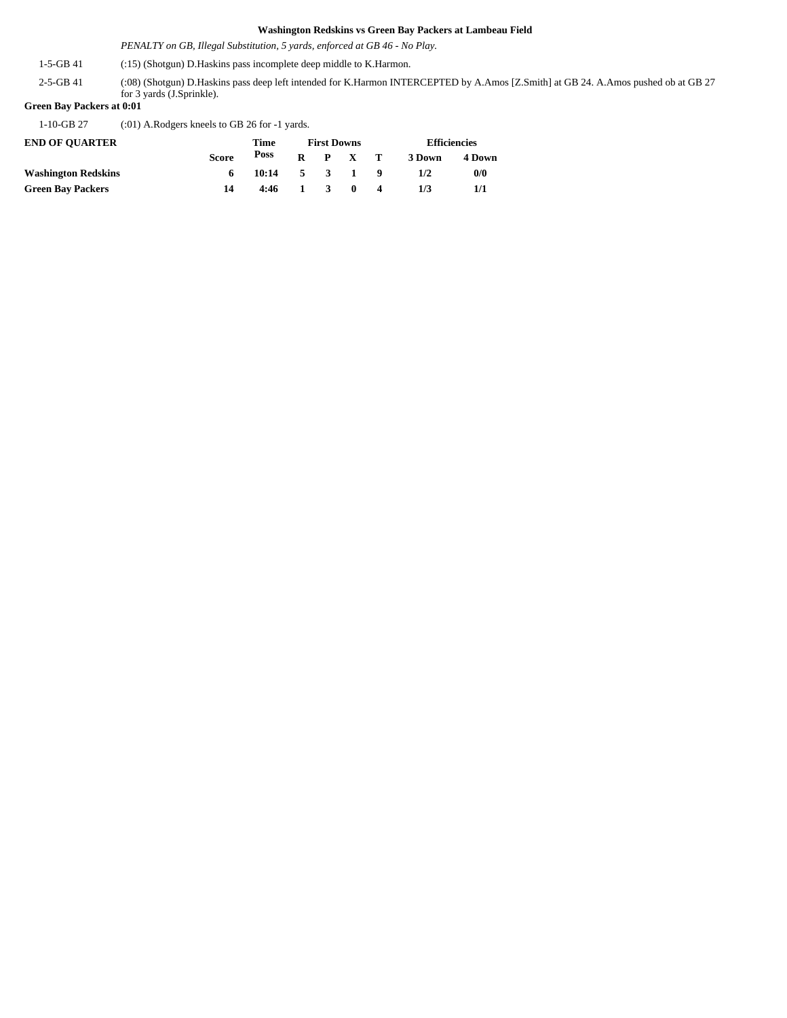*PENALTY on GB, Illegal Substitution, 5 yards, enforced at GB 46 - No Play.*

1-5-GB 41 (:15) (Shotgun) D.Haskins pass incomplete deep middle to K.Harmon.

(:08) (Shotgun) D.Haskins pass deep left intended for K.Harmon INTERCEPTED by A.Amos [Z.Smith] at GB 24. A.Amos pushed ob at GB 27 for 3 yards (J.Sprinkle). 2-5-GB 41

#### **Green Bay Packers at 0:01**

1-10-GB 27 (:01) A.Rodgers kneels to GB 26 for -1 yards.

| <b>END OF OUARTER</b>      |              | Time            | <b>First Downs</b> |                 |              |  | <b>Efficiencies</b> |        |  |
|----------------------------|--------------|-----------------|--------------------|-----------------|--------------|--|---------------------|--------|--|
|                            | <b>Score</b> | Poss            |                    | $R$ $P$ $X$ $T$ |              |  | 3 Down              | 4 Down |  |
| <b>Washington Redskins</b> | 6.           | $10:14$ 5 3 1 9 |                    |                 |              |  | 1/2                 | 0/0    |  |
| <b>Green Bay Packers</b>   | 14           | $4:46$ 1 3      |                    |                 | $\mathbf{0}$ |  | 173                 |        |  |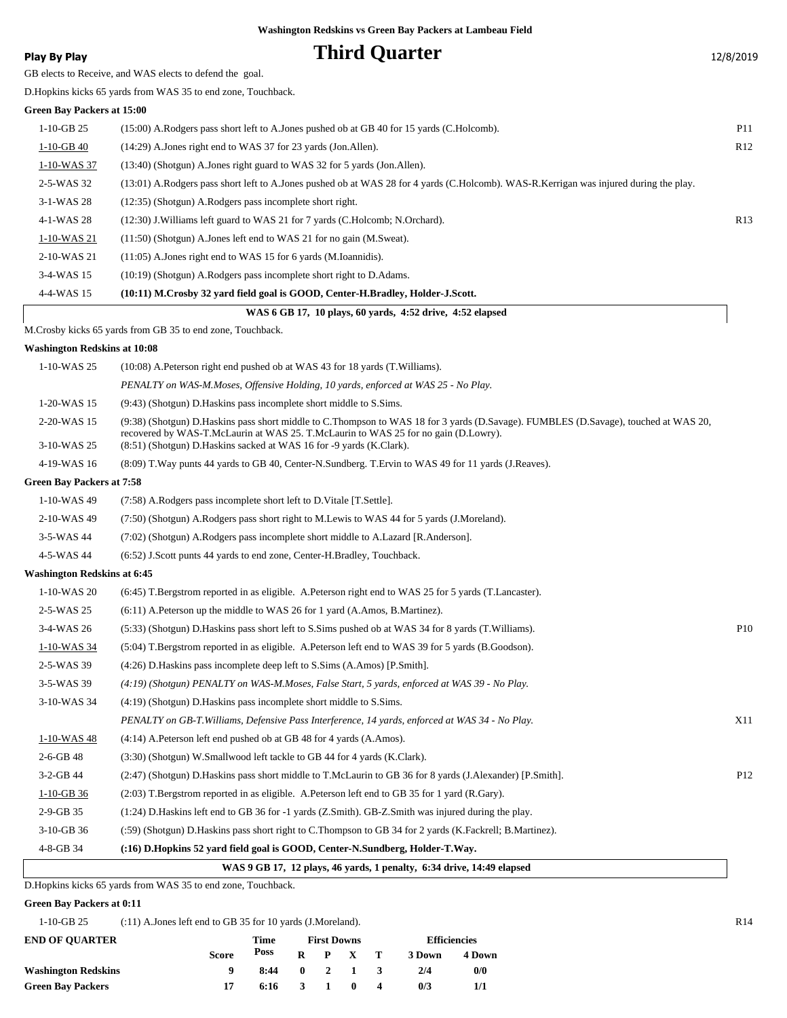### **Play By Play Play Play Play By Play Third Quarter** 12/8/2019

GB elects to Receive, and WAS elects to defend the goal.

D.Hopkins kicks 65 yards from WAS 35 to end zone, Touchback.

#### **Green Bay Packers at 15:00**

| rtth bay I athtis at 19.00 |                                                                                                                                       |                 |  |  |  |  |  |
|----------------------------|---------------------------------------------------------------------------------------------------------------------------------------|-----------------|--|--|--|--|--|
| $1-10-GB$ 25               | (15:00) A.Rodgers pass short left to A.Jones pushed ob at GB 40 for 15 yards (C.Holcomb).                                             | P <sub>11</sub> |  |  |  |  |  |
| $1-10-GB$ 40               | (14:29) A. Jones right end to WAS 37 for 23 yards (Jon. Allen).                                                                       | R12             |  |  |  |  |  |
| 1-10-WAS 37                | $(13:40)$ (Shotgun) A. Jones right guard to WAS 32 for 5 yards (Jon. Allen).                                                          |                 |  |  |  |  |  |
| 2-5-WAS 32                 | (13:01) A.Rodgers pass short left to A.Jones pushed ob at WAS 28 for 4 yards (C.Holcomb). WAS-R.Kerrigan was injured during the play. |                 |  |  |  |  |  |
| $3-1-WAS28$                | (12:35) (Shotgun) A.Rodgers pass incomplete short right.                                                                              |                 |  |  |  |  |  |
| 4-1-WAS 28                 | (12:30) J. Williams left guard to WAS 21 for 7 yards (C. Holcomb; N. Orchard).                                                        | R13             |  |  |  |  |  |
| 1-10-WAS 21                | $(11:50)$ (Shotgun) A. Jones left end to WAS 21 for no gain (M. Sweat).                                                               |                 |  |  |  |  |  |
| 2-10-WAS 21                | $(11:05)$ A. Jones right end to WAS 15 for 6 yards (M. Ioannidis).                                                                    |                 |  |  |  |  |  |
| 3-4-WAS 15                 | (10:19) (Shotgun) A.Rodgers pass incomplete short right to D.Adams.                                                                   |                 |  |  |  |  |  |
| 4-4-WAS 15                 | (10:11) M.Crosby 32 vard field goal is GOOD, Center-H.Bradley, Holder-J.Scott.                                                        |                 |  |  |  |  |  |
|                            | WAS 6 GB 17, 10 plays, 60 yards, 4:52 drive, 4:52 elapsed                                                                             |                 |  |  |  |  |  |
|                            |                                                                                                                                       |                 |  |  |  |  |  |

M.Crosby kicks 65 yards from GB 35 to end zone, Touchback.

#### **Washington Redskins at 10:08**

| 1-10-WAS 25                        | $(10:08)$ A. Peterson right end pushed ob at WAS 43 for 18 yards (T. Williams).                                                                                                                                                                                                                    |                 |
|------------------------------------|----------------------------------------------------------------------------------------------------------------------------------------------------------------------------------------------------------------------------------------------------------------------------------------------------|-----------------|
|                                    | PENALTY on WAS-M.Moses, Offensive Holding, 10 yards, enforced at WAS 25 - No Play.                                                                                                                                                                                                                 |                 |
| 1-20-WAS 15                        | (9:43) (Shotgun) D. Haskins pass incomplete short middle to S. Sims.                                                                                                                                                                                                                               |                 |
| 2-20-WAS 15<br>3-10-WAS 25         | (9:38) (Shotgun) D.Haskins pass short middle to C.Thompson to WAS 18 for 3 yards (D.Savage). FUMBLES (D.Savage), touched at WAS 20,<br>recovered by WAS-T.McLaurin at WAS 25. T.McLaurin to WAS 25 for no gain (D.Lowry).<br>(8:51) (Shotgun) D. Haskins sacked at WAS 16 for -9 yards (K. Clark). |                 |
| 4-19-WAS 16                        | (8:09) T. Way punts 44 yards to GB 40, Center-N. Sundberg. T. Ervin to WAS 49 for 11 yards (J. Reaves).                                                                                                                                                                                            |                 |
| <b>Green Bay Packers at 7:58</b>   |                                                                                                                                                                                                                                                                                                    |                 |
| 1-10-WAS 49                        | (7:58) A.Rodgers pass incomplete short left to D.Vitale [T.Settle].                                                                                                                                                                                                                                |                 |
| 2-10-WAS 49                        | (7:50) (Shotgun) A.Rodgers pass short right to M.Lewis to WAS 44 for 5 yards (J.Moreland).                                                                                                                                                                                                         |                 |
| 3-5-WAS 44                         | (7:02) (Shotgun) A.Rodgers pass incomplete short middle to A.Lazard [R.Anderson].                                                                                                                                                                                                                  |                 |
| 4-5-WAS 44                         | (6:52) J.Scott punts 44 yards to end zone, Center-H.Bradley, Touchback.                                                                                                                                                                                                                            |                 |
| <b>Washington Redskins at 6:45</b> |                                                                                                                                                                                                                                                                                                    |                 |
| 1-10-WAS 20                        | (6:45) T.Bergstrom reported in as eligible. A.Peterson right end to WAS 25 for 5 yards (T.Lancaster).                                                                                                                                                                                              |                 |
| 2-5-WAS 25                         | $(6:11)$ A. Peterson up the middle to WAS 26 for 1 yard (A. Amos, B. Martinez).                                                                                                                                                                                                                    |                 |
| 3-4-WAS 26                         | (5:33) (Shotgun) D.Haskins pass short left to S.Sims pushed ob at WAS 34 for 8 yards (T.Williams).                                                                                                                                                                                                 | P <sub>10</sub> |
| 1-10-WAS 34                        | (5:04) T.Bergstrom reported in as eligible. A.Peterson left end to WAS 39 for 5 yards (B.Goodson).                                                                                                                                                                                                 |                 |
| 2-5-WAS 39                         | (4:26) D. Haskins pass incomplete deep left to S. Sims (A. Amos) [P. Smith].                                                                                                                                                                                                                       |                 |
| 3-5-WAS 39                         | $(4.19)$ (Shotgun) PENALTY on WAS-M.Moses, False Start, 5 yards, enforced at WAS 39 - No Play.                                                                                                                                                                                                     |                 |
| 3-10-WAS 34                        | (4:19) (Shotgun) D. Haskins pass incomplete short middle to S. Sims.                                                                                                                                                                                                                               |                 |
|                                    | PENALTY on GB-T. Williams, Defensive Pass Interference, 14 yards, enforced at WAS 34 - No Play.                                                                                                                                                                                                    | X11             |
| 1-10-WAS 48                        | (4:14) A. Peterson left end pushed ob at GB 48 for 4 yards (A. Amos).                                                                                                                                                                                                                              |                 |
| $2-6-GB$ 48                        | (3:30) (Shotgun) W.Smallwood left tackle to GB 44 for 4 yards (K.Clark).                                                                                                                                                                                                                           |                 |
| 3-2-GB 44                          | (2:47) (Shotgun) D.Haskins pass short middle to T.McLaurin to GB 36 for 8 yards (J.Alexander) [P.Smith].                                                                                                                                                                                           | P <sub>12</sub> |
| $1-10-GB$ 36                       | (2.03) T.Bergstrom reported in as eligible. A.Peterson left end to GB 35 for 1 yard (R.Gary).                                                                                                                                                                                                      |                 |
| $2-9-GB$ 35                        | $(1:24)$ D. Haskins left end to GB 36 for -1 yards (Z. Smith). GB-Z. Smith was injured during the play.                                                                                                                                                                                            |                 |
| 3-10-GB 36                         | (:59) (Shotgun) D.Haskins pass short right to C.Thompson to GB 34 for 2 yards (K.Fackrell; B.Martinez).                                                                                                                                                                                            |                 |
| 4-8-GB 34                          | (:16) D.Hopkins 52 yard field goal is GOOD, Center-N.Sundberg, Holder-T.Way.                                                                                                                                                                                                                       |                 |
|                                    |                                                                                                                                                                                                                                                                                                    |                 |

| WAS 9 GB 17, 12 plays, 46 yards, 1 penalty, 6:34 drive, 14:49 elapsed |  |  |  |
|-----------------------------------------------------------------------|--|--|--|
|-----------------------------------------------------------------------|--|--|--|

D.Hopkins kicks 65 yards from WAS 35 to end zone, Touchback.

#### **Green Bay Packers at 0:11**

| 1-10-GB 25 | $(11)$ A. Jones left end to GB 35 for 10 yards (J. Moreland).<br>the contract of the contract of the contract of the contract of the contract of the contract of the contract of |  |
|------------|----------------------------------------------------------------------------------------------------------------------------------------------------------------------------------|--|
|------------|----------------------------------------------------------------------------------------------------------------------------------------------------------------------------------|--|

| <b>END OF OUARTER</b>      |       | Time               | <b>First Downs</b> |  |                 |                | <b>Efficiencies</b> |        |  |
|----------------------------|-------|--------------------|--------------------|--|-----------------|----------------|---------------------|--------|--|
|                            | Score | Poss               |                    |  | $R$ $P$ $X$ $T$ |                | 3 Down              | 4 Down |  |
| <b>Washington Redskins</b> |       | $8:44$ 0 2 1 3     |                    |  |                 |                | 2/4                 | 0/0    |  |
| <b>Green Bay Packers</b>   |       | $6:16 \t3 \t1 \t0$ |                    |  |                 | $\blacksquare$ | 0/3                 | 1/1    |  |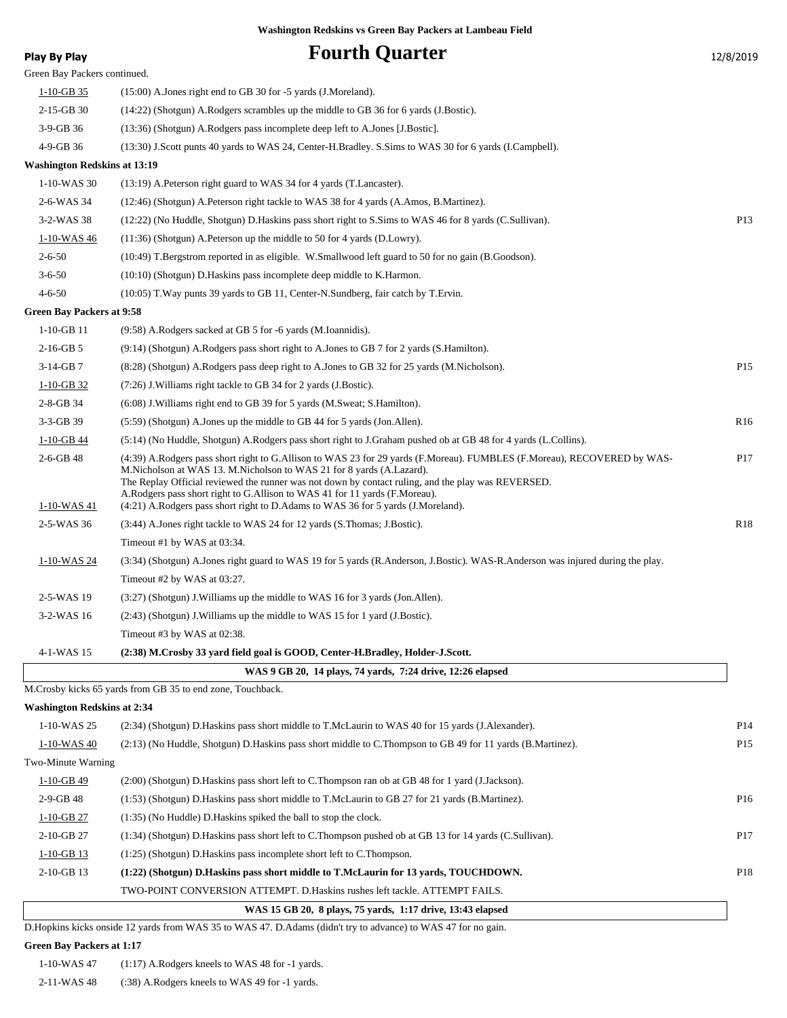| Play By Play                        | <b>Fourth Quarter</b>                                                                                                                                                                                                                                                                                                                                                               | 12/8/2019       |
|-------------------------------------|-------------------------------------------------------------------------------------------------------------------------------------------------------------------------------------------------------------------------------------------------------------------------------------------------------------------------------------------------------------------------------------|-----------------|
| Green Bay Packers continued.        |                                                                                                                                                                                                                                                                                                                                                                                     |                 |
| $1-10$ -GB 35                       | (15:00) A. Jones right end to GB 30 for -5 yards (J. Moreland).                                                                                                                                                                                                                                                                                                                     |                 |
| 2-15-GB 30                          | (14:22) (Shotgun) A.Rodgers scrambles up the middle to GB 36 for 6 yards (J.Bostic).                                                                                                                                                                                                                                                                                                |                 |
| 3-9-GB 36                           | (13:36) (Shotgun) A.Rodgers pass incomplete deep left to A.Jones [J.Bostic].                                                                                                                                                                                                                                                                                                        |                 |
| 4-9-GB 36                           | (13:30) J.Scott punts 40 yards to WAS 24, Center-H.Bradley. S.Sims to WAS 30 for 6 yards (I.Campbell).                                                                                                                                                                                                                                                                              |                 |
| <b>Washington Redskins at 13:19</b> |                                                                                                                                                                                                                                                                                                                                                                                     |                 |
| 1-10-WAS 30                         | (13:19) A. Peterson right guard to WAS 34 for 4 yards (T. Lancaster).                                                                                                                                                                                                                                                                                                               |                 |
| 2-6-WAS 34                          | (12:46) (Shotgun) A.Peterson right tackle to WAS 38 for 4 yards (A.Amos, B.Martinez).                                                                                                                                                                                                                                                                                               |                 |
| 3-2-WAS 38                          | (12:22) (No Huddle, Shotgun) D. Haskins pass short right to S. Sims to WAS 46 for 8 yards (C. Sullivan).                                                                                                                                                                                                                                                                            | P <sub>13</sub> |
| 1-10-WAS 46                         | (11:36) (Shotgun) A.Peterson up the middle to 50 for 4 yards (D.Lowry).                                                                                                                                                                                                                                                                                                             |                 |
| $2 - 6 - 50$                        | (10:49) T.Bergstrom reported in as eligible. W.Smallwood left guard to 50 for no gain (B.Goodson).                                                                                                                                                                                                                                                                                  |                 |
| $3 - 6 - 50$                        | (10:10) (Shotgun) D.Haskins pass incomplete deep middle to K.Harmon.                                                                                                                                                                                                                                                                                                                |                 |
| $4 - 6 - 50$                        | (10:05) T. Way punts 39 yards to GB 11, Center-N. Sundberg, fair catch by T. Ervin.                                                                                                                                                                                                                                                                                                 |                 |
| <b>Green Bay Packers at 9:58</b>    |                                                                                                                                                                                                                                                                                                                                                                                     |                 |
| $1-10-GB$ 11                        | (9:58) A.Rodgers sacked at GB 5 for -6 yards (M.Ioannidis).                                                                                                                                                                                                                                                                                                                         |                 |
| $2-16$ -GB 5                        | (9.14) (Shotgun) A.Rodgers pass short right to A.Jones to GB 7 for 2 yards (S.Hamilton).                                                                                                                                                                                                                                                                                            |                 |
| $3-14-GB7$                          | (8.28) (Shotgun) A.Rodgers pass deep right to A.Jones to GB 32 for 25 yards (M.Nicholson).                                                                                                                                                                                                                                                                                          | P <sub>15</sub> |
| $1-10-GB$ 32                        | (7:26) J. Williams right tackle to GB 34 for 2 yards (J. Bostic).                                                                                                                                                                                                                                                                                                                   |                 |
| 2-8-GB 34                           | (6:08) J. Williams right end to GB 39 for 5 yards (M. Sweat; S. Hamilton).                                                                                                                                                                                                                                                                                                          |                 |
| 3-3-GB 39                           | (5:59) (Shotgun) A.Jones up the middle to GB 44 for 5 yards (Jon.Allen).                                                                                                                                                                                                                                                                                                            | R <sub>16</sub> |
| $1-10$ -GB 44                       | (5:14) (No Huddle, Shotgun) A.Rodgers pass short right to J.Graham pushed ob at GB 48 for 4 yards (L.Collins).                                                                                                                                                                                                                                                                      |                 |
| $2-6-GB$ 48                         | (4:39) A.Rodgers pass short right to G.Allison to WAS 23 for 29 yards (F.Moreau). FUMBLES (F.Moreau), RECOVERED by WAS-<br>M.Nicholson at WAS 13. M.Nicholson to WAS 21 for 8 yards (A.Lazard).<br>The Replay Official reviewed the runner was not down by contact ruling, and the play was REVERSED.<br>A.Rodgers pass short right to G.Allison to WAS 41 for 11 yards (F.Moreau). | P <sub>17</sub> |
| 1-10-WAS 41                         | (4:21) A.Rodgers pass short right to D.Adams to WAS 36 for 5 yards (J.Moreland).                                                                                                                                                                                                                                                                                                    |                 |
| 2-5-WAS 36                          | (3:44) A. Jones right tackle to WAS 24 for 12 yards (S. Thomas; J. Bostic).                                                                                                                                                                                                                                                                                                         | R <sub>18</sub> |
|                                     | Timeout #1 by WAS at 03:34.                                                                                                                                                                                                                                                                                                                                                         |                 |
| 1-10-WAS 24                         | (3:34) (Shotgun) A.Jones right guard to WAS 19 for 5 yards (R.Anderson, J.Bostic). WAS-R.Anderson was injured during the play.                                                                                                                                                                                                                                                      |                 |
|                                     | Timeout #2 by WAS at $03:27$ .                                                                                                                                                                                                                                                                                                                                                      |                 |
| 2-5-WAS 19                          | $(3:27)$ (Shotgun) J. Williams up the middle to WAS 16 for 3 yards (Jon. Allen).                                                                                                                                                                                                                                                                                                    |                 |
| 3-2-WAS 16                          | $(2.43)$ (Shotgun) J. Williams up the middle to WAS 15 for 1 yard (J. Bostic).                                                                                                                                                                                                                                                                                                      |                 |
|                                     | Timeout #3 by WAS at 02:38.                                                                                                                                                                                                                                                                                                                                                         |                 |
| 4-1-WAS 15                          | (2:38) M.Crosby 33 yard field goal is GOOD, Center-H.Bradley, Holder-J.Scott.                                                                                                                                                                                                                                                                                                       |                 |
|                                     | WAS 9 GB 20, 14 plays, 74 yards, 7:24 drive, 12:26 elapsed                                                                                                                                                                                                                                                                                                                          |                 |
|                                     | M. Crosby kicks 65 yards from GB 35 to end zone, Touchback.                                                                                                                                                                                                                                                                                                                         |                 |
| <b>Washington Redskins at 2:34</b>  |                                                                                                                                                                                                                                                                                                                                                                                     |                 |
| 1-10-WAS 25                         | (2:34) (Shotgun) D.Haskins pass short middle to T.McLaurin to WAS 40 for 15 yards (J.Alexander).                                                                                                                                                                                                                                                                                    | P <sub>14</sub> |
| 1-10-WAS 40                         | (2:13) (No Huddle, Shotgun) D.Haskins pass short middle to C.Thompson to GB 49 for 11 yards (B.Martinez).                                                                                                                                                                                                                                                                           | P <sub>15</sub> |
| Two-Minute Warning                  |                                                                                                                                                                                                                                                                                                                                                                                     |                 |
| 1-10-GB 49                          | (2:00) (Shotgun) D.Haskins pass short left to C.Thompson ran ob at GB 48 for 1 yard (J.Jackson).                                                                                                                                                                                                                                                                                    |                 |
| 2-9-GB 48                           | (1:53) (Shotgun) D.Haskins pass short middle to T.McLaurin to GB 27 for 21 yards (B.Martinez).                                                                                                                                                                                                                                                                                      | P <sub>16</sub> |
| $1-10-GB$ 27                        | $(1:35)$ (No Huddle) D. Haskins spiked the ball to stop the clock.                                                                                                                                                                                                                                                                                                                  |                 |
| 2-10-GB 27                          | (1:34) (Shotgun) D.Haskins pass short left to C.Thompson pushed ob at GB 13 for 14 yards (C.Sullivan).                                                                                                                                                                                                                                                                              | P <sub>17</sub> |
| $1 - 10 - GB$ 13                    | (1:25) (Shotgun) D. Haskins pass incomplete short left to C. Thompson.                                                                                                                                                                                                                                                                                                              |                 |
| 2-10-GB 13                          | (1:22) (Shotgun) D.Haskins pass short middle to T.McLaurin for 13 yards, TOUCHDOWN.                                                                                                                                                                                                                                                                                                 | P18             |
|                                     | TWO-POINT CONVERSION ATTEMPT. D. Haskins rushes left tackle. ATTEMPT FAILS.                                                                                                                                                                                                                                                                                                         |                 |
|                                     | WAS 15 GB 20, 8 plays, 75 yards, 1:17 drive, 13:43 elapsed                                                                                                                                                                                                                                                                                                                          |                 |
|                                     | D.Hopkins kicks onside 12 yards from WAS 35 to WAS 47. D.Adams (didn't try to advance) to WAS 47 for no gain.                                                                                                                                                                                                                                                                       |                 |

**Green Bay Packers at 1:17**

1-10-WAS 47 (1:17) A.Rodgers kneels to WAS 48 for -1 yards.

2-11-WAS 48 (:38) A.Rodgers kneels to WAS 49 for -1 yards.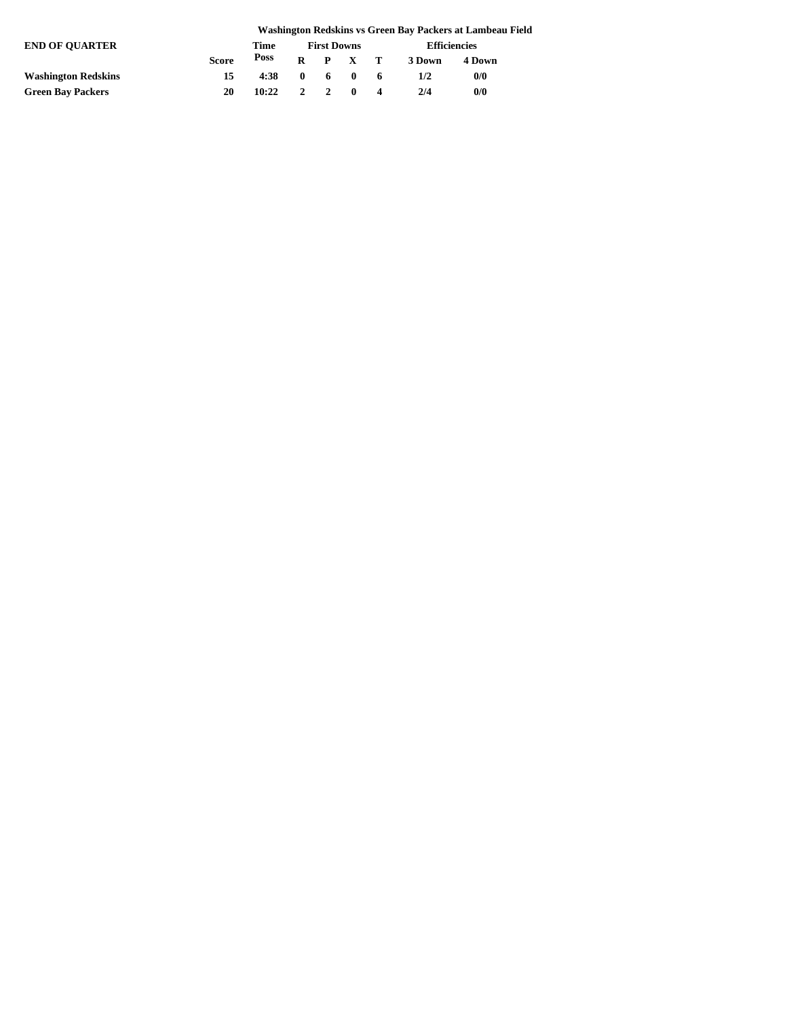|                            |       |       |                    |    |                 |    |                     | Washington Redskins vs Green Bay Packers at Lambeau Field |  |
|----------------------------|-------|-------|--------------------|----|-----------------|----|---------------------|-----------------------------------------------------------|--|
| <b>END OF OUARTER</b>      |       | Time  | <b>First Downs</b> |    |                 |    | <b>Efficiencies</b> |                                                           |  |
|                            | Score | Poss  |                    |    | $R$ $P$ $X$ $T$ |    | 3 Down              | 4 Down                                                    |  |
| <b>Washington Redskins</b> | 15    | 4:38  | $\mathbf{0}$       | -6 | $\blacksquare$  | -6 | 1/2                 | 0/0                                                       |  |
| <b>Green Bay Packers</b>   | 20    | 10:22 | $\mathcal{L}$      |    | $\mathbf{0}$    |    | 2/4                 | 0/0                                                       |  |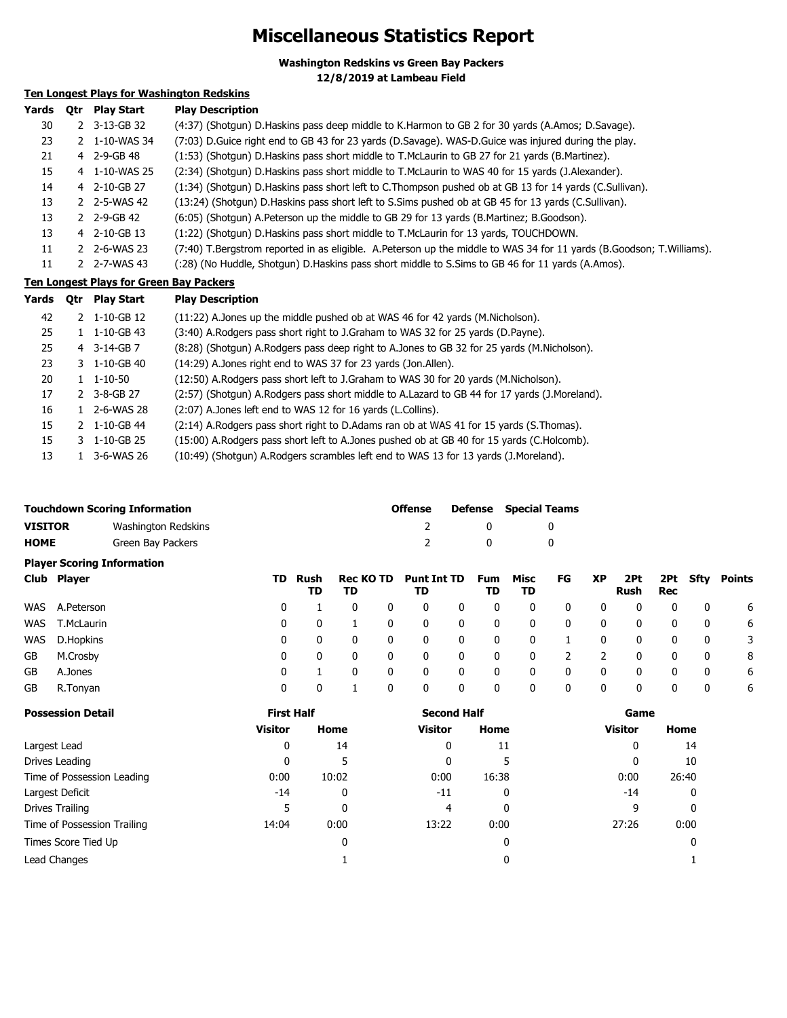### **Miscellaneous Statistics Report**

**Washington Redskins vs Green Bay Packers**

**12/8/2019 at Lambeau Field**

#### **Ten Longest Plays for Washington Redskins**

| Yards | <b>Otr</b> | <b>Play Start</b>       | <b>Play Description</b>                                                                                              |
|-------|------------|-------------------------|----------------------------------------------------------------------------------------------------------------------|
| 30    |            | 2 3-13-GB 32            | (4:37) (Shotqun) D.Haskins pass deep middle to K.Harmon to GB 2 for 30 yards (A.Amos; D.Savage).                     |
| 23    | 2.         | 1-10-WAS 34             | (7:03) D. Guice right end to GB 43 for 23 yards (D. Savage). WAS-D. Guice was injured during the play.               |
| 21    |            | 4 2-9-GB 48             | (1:53) (Shotgun) D.Haskins pass short middle to T.McLaurin to GB 27 for 21 yards (B.Martinez).                       |
| 15    |            | 4 1-10-WAS 25           | (2:34) (Shotgun) D.Haskins pass short middle to T.McLaurin to WAS 40 for 15 yards (J.Alexander).                     |
| 14    |            | 4 2-10-GB 27            | (1:34) (Shotgun) D.Haskins pass short left to C.Thompson pushed ob at GB 13 for 14 yards (C.Sullivan).               |
| 13    |            | 2 2-5-WAS 42            | (13:24) (Shotgun) D.Haskins pass short left to S.Sims pushed ob at GB 45 for 13 yards (C.Sullivan).                  |
| 13    |            | $2 \quad 2 - 9 - GB 42$ | (6:05) (Shotgun) A.Peterson up the middle to GB 29 for 13 yards (B.Martinez; B.Goodson).                             |
| 13    |            | 4 2-10-GB 13            | (1:22) (Shotgun) D. Haskins pass short middle to T. McLaurin for 13 yards, TOUCHDOWN.                                |
| 11    |            | 2 2-6-WAS 23            | (7:40) T.Bergstrom reported in as eligible. A.Peterson up the middle to WAS 34 for 11 yards (B.Goodson; T.Williams). |
| 11    |            | 2-7-WAS 43              | (:28) (No Huddle, Shotgun) D.Haskins pass short middle to S.Sims to GB 46 for 11 yards (A.Amos).                     |

#### **Ten Longest Plays for Green Bay Packers**

| Yards | <b>Otr</b> | <b>Play Start</b>              | <b>Play Description</b>                                                                      |
|-------|------------|--------------------------------|----------------------------------------------------------------------------------------------|
| 42    |            | $2 \quad 1 - 10 - GB \quad 12$ | (11:22) A.Jones up the middle pushed ob at WAS 46 for 42 yards (M.Nicholson).                |
| 25    |            | $1 \quad 1 - 10 - GB$ 43       | (3:40) A.Rodgers pass short right to J.Graham to WAS 32 for 25 yards (D.Payne).              |
| 25    |            | 4 3-14-GB 7                    | (8:28) (Shotgun) A.Rodgers pass deep right to A.Jones to GB 32 for 25 yards (M.Nicholson).   |
| 23    |            | $3 \quad 1 - 10 - GB$ 40       | (14:29) A.Jones right end to WAS 37 for 23 yards (Jon.Allen).                                |
| 20    |            | $1 \quad 1 - 10 - 50$          | (12:50) A.Rodgers pass short left to J.Graham to WAS 30 for 20 yards (M.Nicholson).          |
| 17    |            | 2 3-8-GB 27                    | (2:57) (Shotgun) A.Rodgers pass short middle to A.Lazard to GB 44 for 17 yards (J.Moreland). |
| 16    |            | $1\quad 2 - 6 - WAS 28$        | (2:07) A.Jones left end to WAS 12 for 16 yards (L.Collins).                                  |
| 15    |            | $2 \quad 1 - 10 - GB$ 44       | (2:14) A. Rodgers pass short right to D. Adams ran ob at WAS 41 for 15 yards (S. Thomas).    |
| 15    |            | 3 1-10-GB 25                   | (15:00) A.Rodgers pass short left to A.Jones pushed ob at GB 40 for 15 yards (C.Holcomb).    |
| 13    |            | 1 3-6-WAS 26                   | (10:49) (Shotgun) A.Rodgers scrambles left end to WAS 13 for 13 yards (J.Moreland).          |

| <b>Touchdown Scoring Information</b> |                     | <b>Offense</b> |     | <b>Defense</b> Special Teams |  |
|--------------------------------------|---------------------|----------------|-----|------------------------------|--|
| <b>VISITOR</b>                       | Washington Redskins |                |     |                              |  |
| <b>HOME</b>                          | Green Bay Packers   |                | - 0 |                              |  |

#### **Player Scoring Information Club Player TD Rush TD Rec KO TD Punt Int TD Fum TD TD TD Misc TD FG XP 2Pt Rush 2Pt Sfty Points Rec** WAS A.Peterson 0 1 0 0 0 0 0 0 0 0 0 0 0 6 WAS T.McLaurin 0 0 1 0 0 0 0 0 0 0 0 0 0 6 WAS D.Hopkins 0 0 0 0 0 0 0 0 1 0 0 0 0 3 GB M.Crosby 0 0 0 0 0 0 0 0 2 2 0 0 0 8 GB A.Jones 0 1 0 0 0 0 0 0 0 0 0 0 0 6

GB R.Tonyan 0 0 1 0 0 0 0 0 0 0 0 0 0 6

| <b>Possession Detail</b>    | <b>First Half</b> |              | <b>Second Half</b> |       | Game           |       |
|-----------------------------|-------------------|--------------|--------------------|-------|----------------|-------|
|                             | <b>Visitor</b>    | Home         | <b>Visitor</b>     | Home  | <b>Visitor</b> | Home  |
| Largest Lead                | $\mathbf{0}$      | 14           | $\mathbf{0}$       | 11    | 0              | 14    |
| Drives Leading              | 0                 |              | 0                  |       | 0              | 10    |
| Time of Possession Leading  | 0:00              | 10:02        | 0:00               | 16:38 | 0:00           | 26:40 |
| Largest Deficit             | -14               | 0            | $-11$              |       | -14            | 0     |
| Drives Trailing             | 5                 | $\mathbf{0}$ | 4                  |       | 9              | 0     |
| Time of Possession Trailing | 14:04             | 0:00         | 13:22              | 0:00  | 27:26          | 0:00  |
| Times Score Tied Up         |                   | 0            |                    |       |                | 0     |
| Lead Changes                |                   |              |                    |       |                |       |